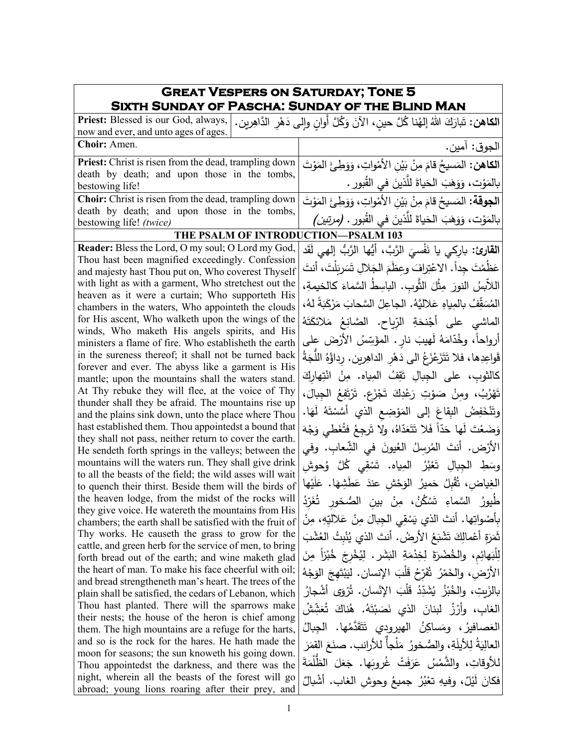| <b>GREAT VESPERS ON SATURDAY; TONE 5</b>                                                                          |                                                                                                |
|-------------------------------------------------------------------------------------------------------------------|------------------------------------------------------------------------------------------------|
| <b>SIXTH SUNDAY OF PASCHA: SUNDAY OF THE BLIND MAN</b>                                                            |                                                                                                |
| Priest: Blessed is our God, always,<br>now and ever, and unto ages of ages.                                       | ا <b>لكاهن:</b> تَبارَكَ اللهُ إلهُنا كُلَّ حينٍ، الآنَ وَكُلَّ أوانٍ وإلى دَهْرِ الدَّاهِرين. |
| Choir: Amen.                                                                                                      | الجوق: آمين.                                                                                   |
| <b>Priest:</b> Christ is risen from the dead, trampling down                                                      | ا <b>لكاهن:</b> المَسيحُ قامَ مِنْ بَيْنِ الأَمْواتِ، وَوَطِئَ المَوْتَ                        |
| death by death; and upon those in the tombs,<br>bestowing life!                                                   | بالمَوْت، وَوَهَبَ الْحَياةَ للَّذينَ في القُبورِ .                                            |
| Choir: Christ is risen from the dead, trampling down                                                              | ا <b>لجوقة:</b> المَسيحُ قامَ مِنْ بَيْنِ الأَمْواتِ، وَوَطِئَ المَوْتَ                        |
| death by death; and upon those in the tombs,<br>bestowing life! (twice)                                           | بالمَوْت، وَوَهَبَ الحَياةَ للَّذينَ في القُبور . (مرتبين)                                     |
| THE PSALM OF INTRODUCTION-PSALM 103                                                                               |                                                                                                |
| Reader: Bless the Lord, O my soul; O Lord my God,                                                                 | ا <b>لقارئ:</b> باركي يا نَفْسيَ الرَّبَّ، أَيُّها الرَّبُّ إل <sub>َّ</sub> هي لَقَد          |
| Thou hast been magnified exceedingly. Confession                                                                  | عَظُمْتَ جِداً. الاعْتِرافَ وعظَمَ الجَلالِ تَسَرِبَلْتَ، أنتَ                                 |
| and majesty hast Thou put on, Who coverest Thyself<br>with light as with a garment, Who stretchest out the        | اللابسُ النورَ مِثْلَ الثَّوبِ. الباسِطُ السَّماءَ كالخيمةِ،                                   |
| heaven as it were a curtain; Who supporteth His<br>chambers in the waters, Who appointeth the clouds              | المُسَقِّفُ بالمِياهِ عَلاليَّهُ. الجاعِلُ السَّحابَ مَرْكَبَةً لهُ،                           |
| for His ascent, Who walketh upon the wings of the                                                                 | الماشي على أَجْنحَةِ الرّياحِ. الصَّانِعُ مَلائكَتَهُ                                          |
| winds, Who maketh His angels spirits, and His<br>ministers a flame of fire. Who establisheth the earth            | أرواحاً، وخُدّامَهُ لَهيبَ نارٍ . المؤَسِّسُ الأَرْضَ على                                      |
| in the sureness thereof; it shall not be turned back                                                              | قَواعِدِها، فلا تَتَزَعْزَعُ الى دَهْرِ الداهِرِينِ. رداؤُهُ اللَّجَةُ                         |
| forever and ever. The abyss like a garment is His<br>mantle; upon the mountains shall the waters stand.           | كالثوبِ، على الجِبالِ تَقِفُ المِياه. مِنْ انْتِهارِكَ                                         |
| At Thy rebuke they will flee, at the voice of Thy                                                                 | تَهْرُبُ، ومِنْ صَوْتِ رَعْدِكَ تَجْزَعٍ. تَرْتَفِعُ الْجِبالَ،                                |
| thunder shall they be afraid. The mountains rise up<br>and the plains sink down, unto the place where Thou        | وتَنْخَفِضُ البِقاعَ إِلَى المَوْضِعِ الذي أَسَّسْتَهُ لَهَا.                                  |
| hast established them. Thou appointedst a bound that                                                              | وَضَعْتَ لَها حَدّاً فَلا تَتَعَدّاهُ، ولا تَرجِعُ فتُغَطى وَجْهَ                              |
| they shall not pass, neither return to cover the earth.<br>He sendeth forth springs in the valleys; between the   | الأرْض. أنتَ المُرسِلُ العُيونَ في الشِّعابِ. وفي                                              |
| mountains will the waters run. They shall give drink                                                              | وسَطِ الجِبالِ تَعْبُرُ  المِياه.  تَسْقِي كُلَّ  وُحوشِ                                       |
| to all the beasts of the field; the wild asses will wait<br>to quench their thirst. Beside them will the birds of | الغِياض، ثُقْبِلُ حَميرُ الوَحْشِ عندَ عَطَشِهَا. عَلَيْها                                     |
| the heaven lodge, from the midst of the rocks will                                                                | طَيورُ السَّماءِ تَسْكُنُ، مِنْ بين الصُّخورِ تُغَرِّدُ                                        |
| they give voice. He watereth the mountains from His<br>chambers; the earth shall be satisfied with the fruit of   | بِأَصْواتِها. أنتَ الذي يَسْقِي الْجِبالَ مِنْ عَلاليِّهِ، مِنْ                                |
| Thy works. He causeth the grass to grow for the                                                                   | ثَمَرَةِ أَعْمالِكَ تَشْبَعُ الأَرضُ. أَنتَ الذي يُنْبِتُ العُشْبَ                             |
| cattle, and green herb for the service of men, to bring<br>forth bread out of the earth; and wine maketh glad     | لِلْبَهائِمِ، والخُضْرَةَ لِخِدْمَةِ الْبَشَرِ . لِيُخْرِجَ خُبْزاً مِنَ                       |
| the heart of man. To make his face cheerful with oil;<br>and bread strengtheneth man's heart. The trees of the    | الأَرْضِ، والخَمْرُ ۖ ثَفَرِّحُ قَلْبَ الإِنسانِ. لَيَبْتَهِجَ الْوَجْهُ                       |
| plain shall be satisfied, the cedars of Lebanon, which                                                            | بالزَبِتِ، والخُبْزُ يُشَدِّدُ قَلْبَ الإِنْسانِ. تُرْوَى أَشْجارُ                             |
| Thou hast planted. There will the sparrows make                                                                   | الغاب، وأَرْزُ  لبنانَ  الذي  نَصَبْتَهُ.  هُناكَ  تُعَشِّشُ                                   |
| their nests; the house of the heron is chief among<br>them. The high mountains are a refuge for the harts,        | العَصافيرُ، ومَساكِنُ الهيرودي تَتَقَدَّمُها. الجبالُ                                          |
| and so is the rock for the hares. He hath made the                                                                | العالِيَةُ لِلأَيلَةِ، والصُّخورُ مَلْجأً للأرانب. صنَعَ القمَرَ                               |
| moon for seasons; the sun knoweth his going down.                                                                 | للأوقاتِ، والشَّمْسُ عَرَفَتْ غُروبَها. جَعَلَ الظُّلْمَةَ                                     |
| Thou appointedst the darkness, and there was the<br>night, wherein all the beasts of the forest will go           |                                                                                                |
| abroad; young lions roaring after their prey, and                                                                 | فكانَ لَيْلٌ، وفيهِ تعْبُرُ جميعُ وحوشِ الغابِ. أشْبالٌ                                        |

٦

Г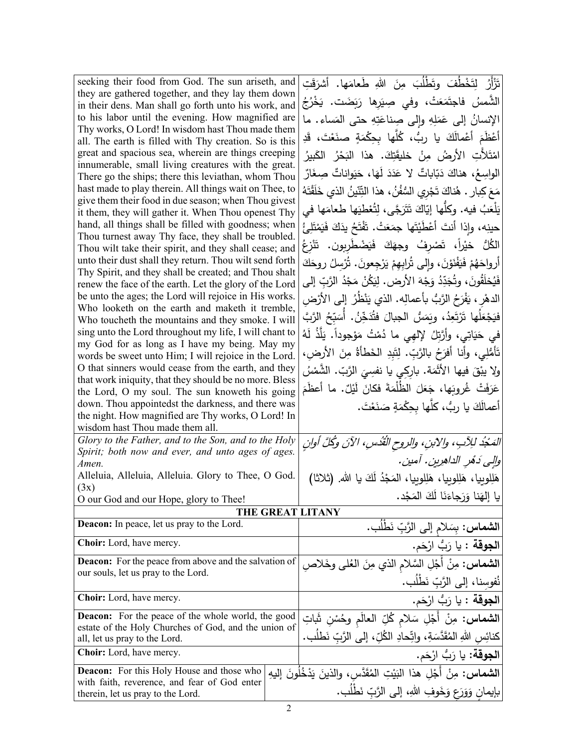| seeking their food from God. The sun ariseth, and                                                                 |  | تَزْأَرُ   لِتَخْطُفَ   وتَطْلُبَ   مِنَ   اللهِ   طَعامَها.   أشرَقَتِ         |
|-------------------------------------------------------------------------------------------------------------------|--|---------------------------------------------------------------------------------|
| they are gathered together, and they lay them down                                                                |  | الشَّمسُ فاجتَمَعَتْ، وفي صِيَرها رَبَضَت. يَخْرُجُ                             |
| in their dens. Man shall go forth unto his work, and<br>to his labor until the evening. How magnified are         |  |                                                                                 |
| Thy works, O Lord! In wisdom hast Thou made them                                                                  |  | الإنسانُ إلى عَمَلِهِ وإِلى صِناعَتِهِ حتى المَساء. ما                          |
| all. The earth is filled with Thy creation. So is this                                                            |  | أَعْظَمَ أَعْمالَكَ يا ربُّ، كُلَّها بِحِكْمَةٍ صنَعْتَ، قَدِ                   |
| great and spacious sea, wherein are things creeping                                                               |  | امْتَلأْتِ الأَرضُ مِنْ خَليقَتِكَ. هذا النَحْرُ الكَبيرُ                       |
| innumerable, small living creatures with the great.                                                               |  | الواسِعُ، هناكَ دَبّاباتٌ لا عَدَدَ لَهَا، حَيَواناتٌ صِغَارٌ                   |
| There go the ships; there this leviathan, whom Thou<br>hast made to play therein. All things wait on Thee, to     |  |                                                                                 |
| give them their food in due season; when Thou givest                                                              |  | مَعَ كِبارٍ . هُناكَ تَجْرِي السُّفُنُ ، هذا التِّنّينُ الذي خَلَقْتَهُ         |
| it them, they will gather it. When Thou openest Thy                                                               |  | يَلْعَبُ فيه. وكلُّها إِيّاكَ تَتَرَجَّى، لِتُعْطِيَها طعامَها في               |
| hand, all things shall be filled with goodness; when                                                              |  | حينِه، وإذا أنتَ أَعْطَيْتَها جمَعَتْ. تَفْتَحُ يدَكَ فَيَمْتَلِئُ              |
| Thou turnest away Thy face, they shall be troubled.                                                               |  | الكُلُّ خيْراً، تَصْرِفُ وجهَكَ فَيَضْطَرِبون. تَنْزِعُ                         |
| Thou wilt take their spirit, and they shall cease; and<br>unto their dust shall they return. Thou wilt send forth |  |                                                                                 |
| Thy Spirit, and they shall be created; and Thou shalt                                                             |  | أَرواحَهُمْ فَيَفْنَوْنَ، وإِلَى تُرابِهِمْ يَرْجِعونَ. تُرْسِلُ روحَكَ         |
| renew the face of the earth. Let the glory of the Lord                                                            |  | فَيُخلَقُونَ، وتُجَدِّدُ وَجْهَ الأَرض. لِيَكُنْ مَجْدُ الرَّبِّ إلى            |
| be unto the ages; the Lord will rejoice in His works.                                                             |  | الدهْرِ ، يَفْرَحُ الرَّبُّ بأعمالِه. الذي يَنْظُرُ إلى الأرْضِ                 |
| Who looketh on the earth and maketh it tremble,                                                                   |  | فيَجْعَلُها تَرْتَعِدُ، ويَمَسُّ الْجبالَ فتُدَخِّنُ. أَسَبِّحُ الرَّبَّ        |
| Who toucheth the mountains and they smoke. I will<br>sing unto the Lord throughout my life, I will chant to       |  |                                                                                 |
| my God for as long as I have my being. May my                                                                     |  | في حَيَاتِي، وأَرَّتِلُ لإلهِي ما دُمْتُ مَوْجوداً. يَلَّذُ لَهُ                |
| words be sweet unto Him; I will rejoice in the Lord.                                                              |  | تَأْمُلِي، وأنا أفرَحُ بالرَّبِّ. لِتَبِدِ الخَطأةُ مِنَ الأرضِ،                |
| O that sinners would cease from the earth, and they                                                               |  | ولا يَبْقَ فَيها الأَثَمَة. باركِي يا نفسِيَ الرَّبّ. الشَّمْسُ                 |
| that work iniquity, that they should be no more. Bless                                                            |  | عَرَفَتْ غُروبَها، جَعَلَ الظُلْمَةَ فكانَ لَيْلٌ. ما أَعظَمَ                   |
| the Lord, O my soul. The sun knoweth his going<br>down. Thou appointedst the darkness, and there was              |  |                                                                                 |
| the night. How magnified are Thy works, O Lord! In                                                                |  | أعمالَكَ يا رِبُّ، كلَّها بحِكْمَةٍ صَنَعْتَ.                                   |
| wisdom hast Thou made them all.                                                                                   |  |                                                                                 |
| Glory to the Father, and to the Son, and to the Holy                                                              |  | المَحْدُ للِآبِ، والآبنِ، والروحِ الْقُدُسِ، الآنَ وكُلَّ أُوانِ                |
| Spirit; both now and ever, and unto ages of ages.                                                                 |  | والِي دَهُرِ الداهِرِينِ. آمينِ.                                                |
| Amen.                                                                                                             |  |                                                                                 |
| Alleluia, Alleluia, Alleluia. Glory to Thee, O God.<br>(3x)                                                       |  | هَلِلوبِيا، هَلِلوبِيا، هَلِلوبِيا، المَجْدُ لَكَ يا الله. (ثلاثا)              |
| O our God and our Hope, glory to Thee!                                                                            |  | يا إلهَنا وَرَجاءَنَا لَكَ المَجْد.                                             |
|                                                                                                                   |  | THE GREAT LITANY                                                                |
| <b>Deacon:</b> In peace, let us pray to the Lord.                                                                 |  | ا <b>لشماس:</b> بِسَلام إلى الرَّبِّ نَطْلُب.                                   |
| Choir: Lord, have mercy.                                                                                          |  | ا <b>لجوقة</b> : يا رَبُّ ارْحَم.                                               |
| <b>Deacon:</b> For the peace from above and the salvation of                                                      |  | <b>الشماس:</b> مِنْ أَجْلِ السَّلام الذي مِنَ العُلمي وخَلاصِ                   |
| our souls, let us pray to the Lord.                                                                               |  |                                                                                 |
|                                                                                                                   |  | نُفوسِنا، إلى الرَّبِّ نَطْلُب.                                                 |
| Choir: Lord, have mercy.                                                                                          |  | ا <b>لجوقة</b> : يا رَبُّ ارْحَم.                                               |
| <b>Deacon:</b> For the peace of the whole world, the good                                                         |  | ا <b>لشماس:</b> مِنْ أَجْلِ سَلام كُلِّ العالَمِ وحُسْنِ شَاتِ                  |
| estate of the Holy Churches of God, and the union of<br>all, let us pray to the Lord.                             |  | كنائِسِ اللهِ المُقَدَّسَةِ، واتِّحادِ الكُلِّ، إلى الرَّبِّ نَطلَب.            |
| Choir: Lord, have mercy.                                                                                          |  | ا <b>لجوقة:</b> يا رَبُّ ارْحَم.                                                |
| <b>Deacon:</b> For this Holy House and those who                                                                  |  |                                                                                 |
| with faith, reverence, and fear of God enter                                                                      |  | ا <b>لشماس:</b> مِنْ أَجْلِ هذا النَيْتِ المُقَدَّسِ، والذينَ يَدْخُلُونَ إليهِ |
| therein, let us pray to the Lord.                                                                                 |  | بإيمانٍ وَوَرَعٍ وَخَوفِ اللهِ، إلى الرَّبِّ نَطْلَبٍ.                          |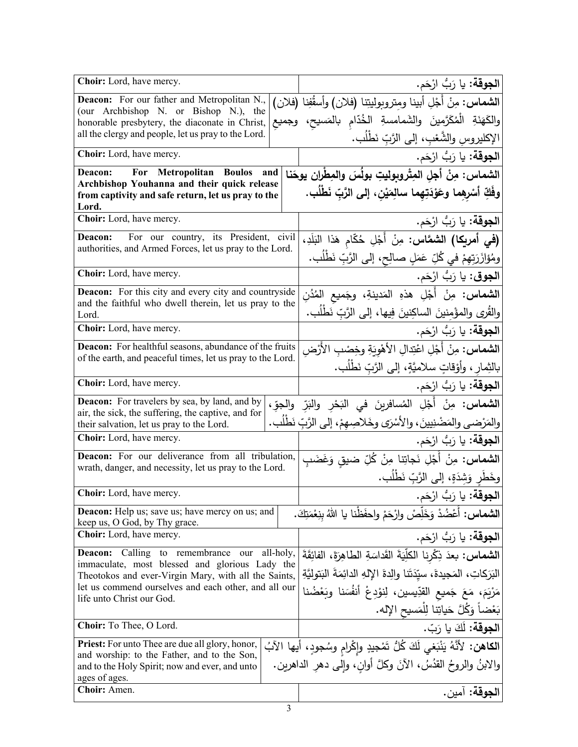| Choir: Lord, have mercy.                                                                              |           | ا <b>لجوقة:</b> يا رَبُّ ارْحَم.                                                    |
|-------------------------------------------------------------------------------------------------------|-----------|-------------------------------------------------------------------------------------|
| Deacon: For our father and Metropolitan N.,                                                           |           | الشماس: مِنْ أَجْلِ أبينا ومِتروبوليتِنا (فلان) وأسقُفِنا (فلان)                    |
| (our Archbishop N. or Bishop N.), the                                                                 |           | والكَهَنَةِ الْمُكَرَّمينَ والشَمامسةِ الخُدّام بالمَسيح، وجميع                     |
| honorable presbytery, the diaconate in Christ,<br>all the clergy and people, let us pray to the Lord. |           |                                                                                     |
| Choir: Lord, have mercy.                                                                              |           | الإكليروسِ والشَّعْبِ، إلى الرَّبِّ نَطْلُب.                                        |
|                                                                                                       |           | ا <b>لجوقة:</b> يا رَبُّ ارْحَم.                                                    |
| For Metropolitan Boulos<br>Deacon:<br>Archbishop Youhanna and their quick release                     | and       | الشماس: مِنْ أجلِ المِتْروبوليتِ بولُسَ والمِطْران يوحَنا                           |
| from captivity and safe return, let us pray to the<br>Lord.                                           |           | وفَكِّ أَسْرِهِما وعَوْدَتِهِما سالِمَيْنِ، إلى الرَّبِّ نَطْلُبٍ.                  |
| Choir: Lord, have mercy.                                                                              |           | ا <b>لجوقة:</b> يا رَبُّ ارْحَم.                                                    |
| Deacon:<br>For our country, its President, civil                                                      |           | (في أمريكا) الشمَّاس: مِنْ أَجْلِ حُكَّام هَذا البَلَدِ،                            |
| authorities, and Armed Forces, let us pray to the Lord.                                               |           | ومُؤازَرَتِهِمْ في كُلِّ عَمَلٍ صالِحٍ، إلى الرَّبِّ نَطْلُب.                       |
| Choir: Lord, have mercy.                                                                              |           | ا <b>لجوق</b> : يا رَبُّ ارْحَم.                                                    |
| <b>Deacon:</b> For this city and every city and countryside                                           |           | ا <b>لشماس:</b> مِنْ أَجْلِ هذهِ المَدينةِ، وجَميع المُدُنِ                         |
| and the faithful who dwell therein, let us pray to the<br>Lord.                                       |           | والقُرى والمؤمنينَ الساكِنينَ فِيها، إلى الرَّبِّ نَطْلُب.                          |
| Choir: Lord, have mercy.                                                                              |           | ا <b>لجوقة:</b> يا رَبُّ ارْحَم.                                                    |
| <b>Deacon:</b> For healthful seasons, abundance of the fruits                                         |           | <b>الشماس:</b> مِنْ أَجْلِ اعْتِدالِ الأَهْوِيَةِ وخِصْبِ الأَرْض                   |
| of the earth, and peaceful times, let us pray to the Lord.                                            |           | بالثِمارِ ، وأَوْقاتٍ سلاميَّةٍ، إلى الرَّبِّ نَطْلُبٍ.                             |
| Choir: Lord, have mercy.                                                                              |           | ا <b>لجوقة:</b> يا رَبُّ ارْحَم.                                                    |
| <b>Deacon:</b> For travelers by sea, by land, and by                                                  |           | <b>الشماس:</b> مِنْ أَجْلِ المُسافرينَ في البَحْرِ والبَرِّ والجوِّ،                |
| air, the sick, the suffering, the captive, and for<br>their salvation, let us pray to the Lord.       |           | والمَرْضى والمَضْنِيينَ، والأَسْرَى وخَلاصِهِمْ، إلى الرَّبِّ نَطْلُب.              |
| <b>Choir:</b> Lord, have mercy.                                                                       |           | ا <b>لجوقة:</b> يا رَبُّ ارْحَم.                                                    |
| Deacon: For our deliverance from all tribulation,                                                     |           | ا <b>لشماس:</b> مِنْ أَجْلِ نَجاتِنا مِنْ كُلِّ ضيق وَغَضَبِ                        |
| wrath, danger, and necessity, let us pray to the Lord.                                                |           | وخَطَرٍ وَشِدَةٍ، إِلَى الرَّبِّ نَطْلُب.                                           |
| Choir: Lord, have mercy.                                                                              |           | ا <b>لجوقة:</b> يا رَبُّ ارْحَم.                                                    |
| <b>Deacon:</b> Help us; save us; have mercy on us; and                                                |           | ا <b>لشماس:</b> أعْضُدْ وَخَلِّصْ وارْحَمْ واحفَظْنا يا اللهُ بنِعْمَتِكَ.          |
| keep us, O God, by Thy grace.                                                                         |           |                                                                                     |
| Choir: Lord, have mercy.                                                                              |           | <b>الجوقة:</b> يا رَبُّ ارْحَم.                                                     |
| Calling to remembrance<br><b>Deacon:</b><br>our<br>immaculate, most blessed and glorious Lady the     | all-holy, | ا <b>لشماس:</b> بعدَ ذِكْرِنا الكلِّيَةَ القَداسَةِ الطاهِرَةَ، الفائِقَةَ          |
| Theotokos and ever-Virgin Mary, with all the Saints,                                                  |           | البَرَكاتِ، المَجيدةَ، سيّدَتَنا والِدةَ الإِلهِ الدائِمَةَ البَتوليَّةِ            |
| let us commend ourselves and each other, and all our<br>life unto Christ our God.                     |           | مَرْيَمَ، مَعَ جَميع القدِّيسين، لِنوْدِعْ أَنفُسَنا وبَعْضُنا                      |
|                                                                                                       |           | بَعْضاً وَكُلَّ حَياتِنا لِلْمَسيحِ الإِله.                                         |
| Choir: To Thee, O Lord.                                                                               |           | ا <b>لجوقة:</b> لَكَ يا رَبّ.                                                       |
| Priest: For unto Thee are due all glory, honor,                                                       |           | ا <b>لكاهن:</b> لأنَّهُ يَنْبَغي لَكَ كُلُّ تَمْجِيدِ وإِكْرامِ وسُجودٍ، أيها الآبُ |
| and worship: to the Father, and to the Son,<br>and to the Holy Spirit; now and ever, and unto         |           | والابنُ والروحُ القدُسُ، الآنَ وكلَّ أوانِ، وإلى دهرِ الداهرين.                     |
| ages of ages.<br>Choir: Amen.                                                                         |           | ا <b>لجوقة:</b> آمين.                                                               |
|                                                                                                       |           |                                                                                     |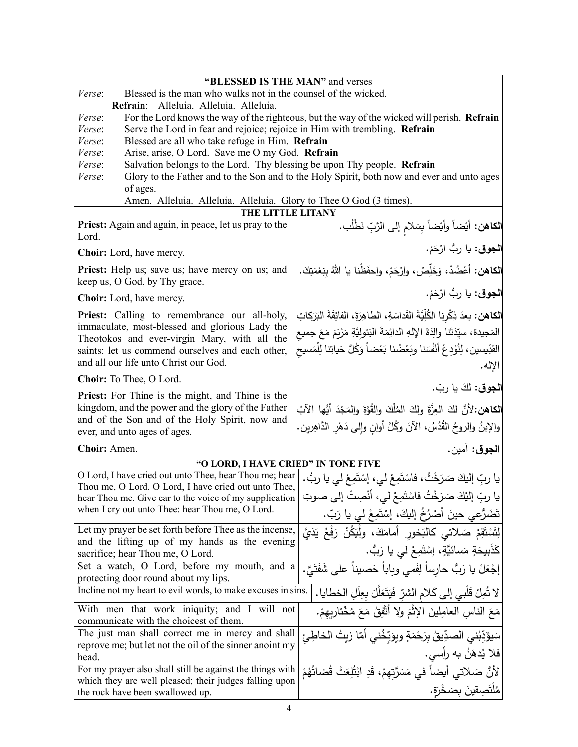| "BLESSED IS THE MAN" and verses                                                                                                         |                                                                                             |  |
|-----------------------------------------------------------------------------------------------------------------------------------------|---------------------------------------------------------------------------------------------|--|
| Blessed is the man who walks not in the counsel of the wicked.<br>Verse:                                                                |                                                                                             |  |
| Refrain: Alleluia. Alleluia. Alleluia.                                                                                                  |                                                                                             |  |
| <i>Verse:</i>                                                                                                                           | For the Lord knows the way of the righteous, but the way of the wicked will perish. Refrain |  |
| Serve the Lord in fear and rejoice; rejoice in Him with trembling. Refrain<br>Verse:                                                    |                                                                                             |  |
| Blessed are all who take refuge in Him. Refrain<br>Verse:                                                                               |                                                                                             |  |
| Arise, arise, O Lord. Save me O my God. Refrain<br>Verse:                                                                               |                                                                                             |  |
| Salvation belongs to the Lord. Thy blessing be upon Thy people. Refrain<br>Verse:                                                       |                                                                                             |  |
| Glory to the Father and to the Son and to the Holy Spirit, both now and ever and unto ages<br>Verse:<br>of ages.                        |                                                                                             |  |
| Amen. Alleluia. Alleluia. Alleluia. Glory to Thee O God (3 times).                                                                      |                                                                                             |  |
| THE LITTLE LITANY                                                                                                                       |                                                                                             |  |
| Priest: Again and again, in peace, let us pray to the<br>Lord.                                                                          | ا <b>لكاهن:</b> أيْضاً وأيْضاً بِسَلام إلى الرَّبِّ نَطْلُب.                                |  |
| <b>Choir:</b> Lord, have mercy.                                                                                                         | ا <b>لجوق</b> : يا ربُ ارْحَمْ.                                                             |  |
| Priest: Help us; save us; have mercy on us; and<br>keep us, O God, by Thy grace.                                                        | الكاهن: أعْضُدْ، وَخَلِّصْ، وارْحَمْ، واحفَظْنا يا اللهُ بنِعْمَتِكَ.                       |  |
| <b>Choir:</b> Lord, have mercy.                                                                                                         | ا <b>لجوق</b> : يا رِبُّ ارْحَمْ.                                                           |  |
| <b>Priest:</b> Calling to remembrance our all-holy,                                                                                     | الكاهن: بعدَ ذِكْرِنا الكُلِّيَّةَ القَداسَةِ، الطاهِرَةَ، الفائِقَةَ البَرَكاتِ            |  |
| immaculate, most-blessed and glorious Lady the                                                                                          | المَجيدة، سيِّدَتَنا والِدَةَ الإِلهِ الدائِمَةَ البَتولِيَّةِ مَرْيَمَ مَعَ جميع           |  |
| Theotokos and ever-virgin Mary, with all the<br>saints: let us commend ourselves and each other,                                        | القدِّيسين، لِنُؤدِعْ أَنْفُسَنا وبَعْضُنا بَعْضاً وَكُلَّ حَياتِنا لِلْمَسيحِ              |  |
| and all our life unto Christ our God.                                                                                                   | الإله.                                                                                      |  |
| Choir: To Thee, O Lord.                                                                                                                 | الجوق: لكَ يا ربّ.                                                                          |  |
| <b>Priest:</b> For Thine is the might, and Thine is the                                                                                 |                                                                                             |  |
| kingdom, and the power and the glory of the Father                                                                                      | الكاهن:لأنَّ لكَ العِزَّةَ ولكَ المُلْكَ والقُوَّةَ والمَجْدَ أَيُّها الآبُ                 |  |
| and of the Son and of the Holy Spirit, now and                                                                                          | والإبنُ والروحُ القُدُسُ، الآنَ وكُلَّ أوانِ وإلى دَهْرِ الدَّاهِرين.                       |  |
| ever, and unto ages of ages.                                                                                                            |                                                                                             |  |
| Choir: Amen.                                                                                                                            | ا <b>لجوق</b> : آمين.                                                                       |  |
| "O LORD, I HAVE CRIED" IN TONE FIVE                                                                                                     |                                                                                             |  |
| O Lord, I have cried out unto Thee, hear Thou me; hear<br>Thou me, O Lord. O Lord, I have cried out unto Thee,                          | يا ربِّ إليكَ صَرَخْتُ، فاسْتَمِعْ لي، إسْتَمِعْ لي يا ربُّ.                                |  |
| hear Thou me. Give ear to the voice of my supplication                                                                                  | يا ربِّ إليْكَ صَرَخْتُ فاسْتَمِعْ لي، أنْصِتْ إلى صوتِ                                     |  |
| when I cry out unto Thee: hear Thou me, O Lord.                                                                                         |                                                                                             |  |
|                                                                                                                                         | تَضَرُّعي حينَ أَصْرُخُ إليكَ، إسْتَمِعْ لي يا رَبّ.                                        |  |
| Let my prayer be set forth before Thee as the incense,<br>and the lifting up of my hands as the evening                                 | لِتَسْتَقِمْ صَلاتي كالبَخور أمامَكَ، ولْيَكُنْ رَفْعُ يَدَيَّ                              |  |
| sacrifice; hear Thou me, O Lord.                                                                                                        | كَذَبِيحَةٍ مَسائيَّةٍ، إِسْتَمِعْ لَي يا رَبُّ.                                            |  |
| Set a watch, O Lord, before my mouth, and a                                                                                             | إجْعَلْ يا رَبُّ حارساً لِفَمي وبِاباً حَصيناً على شَفَتَيَّ.                               |  |
| protecting door round about my lips.                                                                                                    |                                                                                             |  |
| Incline not my heart to evil words, to make excuses in sins.<br>لا تُمِلْ قَلْبِي إِلَى كَلامِ الشِّرِّ فَيَتَعَلَّلَ بِعِلَلِ الخطايا. |                                                                                             |  |
| With men that work iniquity; and I will not<br>مَعَ النَّاسِ الْعَامِلِينَ الإِثْمَ وَلَا أَتَّفِقُ مَعَ مُخْتَارِيهِمْ.                |                                                                                             |  |
| communicate with the choicest of them.<br>The just man shall correct me in mercy and shall                                              |                                                                                             |  |
| سَيؤَدِّبُني الصدِّيقُ بِرَحْمَةٍ وبِوَبِّخُني أَمّا زيتُ الخاطِئ<br>reprove me; but let not the oil of the sinner anoint my            |                                                                                             |  |
| فلا يُدهَ <i>نُ</i> به رأِسي.<br>head.                                                                                                  |                                                                                             |  |
| For my prayer also shall still be against the things with<br>لأنَّ صَلاتي أيضاً في مَسَرَّتِهِمْ، قَدِ ابْتُلِعَتْ قُصَاتُهُمْ          |                                                                                             |  |
| which they are well pleased; their judges falling upon                                                                                  |                                                                                             |  |
| the rock have been swallowed up.                                                                                                        | مُلْتَصِقِينَ بِصَخْرَةٍ.                                                                   |  |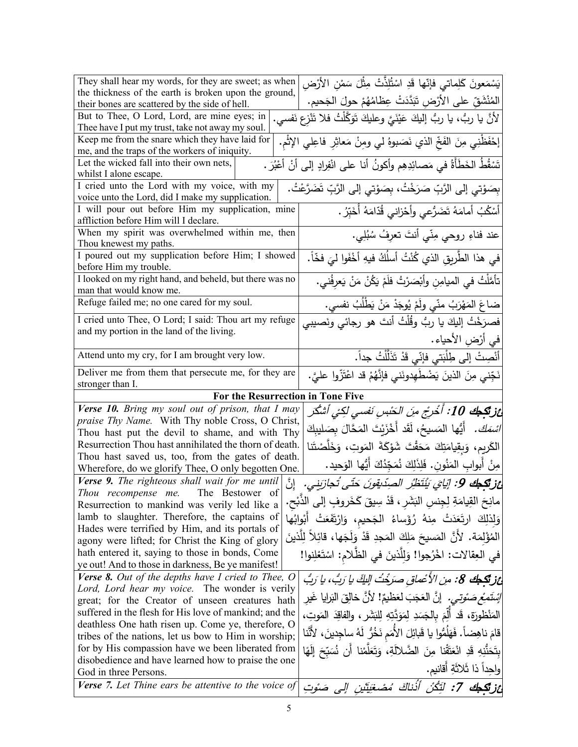| They shall hear my words, for they are sweet; as when                                              | يَسْمَعونَ كَلِماتي فإنّها قَدِ اسْتُلِذَّتْ مِثْلَ سَمْنِ الأَرْضِ                            |
|----------------------------------------------------------------------------------------------------|------------------------------------------------------------------------------------------------|
| the thickness of the earth is broken upon the ground,                                              |                                                                                                |
| their bones are scattered by the side of hell.                                                     | المُنْشَقِّ على الأَرْضِ تَبَدَّدَتْ عِظَامُهُمْ حولَ الجَحيم.                                 |
| But to Thee, O Lord, Lord, are mine eyes; in                                                       | لأنَّ يا ربُّ، يا ربُّ إليكَ عَيْنَيَّ وعليكَ تَوَكَّلْتُ فلا تَنْزِع نَفسي.                   |
| Thee have I put my trust, take not away my soul.                                                   |                                                                                                |
| Keep me from the snare which they have laid for                                                    | إحْفَظْنِي مِنَ الفَخِّ الذي نَصَبوهُ لي ومِنْ مَعاثِرِ فاعِلي الإِثْمِ.                       |
| me, and the traps of the workers of iniquity.                                                      |                                                                                                |
| Let the wicked fall into their own nets,                                                           | تَسْقُطُ الخَطَأةُ في مَصائِدِهِم وأكونُ أنا على انْفِرادٍ إلى أنْ أَعْبُرَ .                  |
| whilst I alone escape.                                                                             |                                                                                                |
| I cried unto the Lord with my voice, with my<br>voice unto the Lord, did I make my supplication.   | بِصَوْتِي إِلَى الرَّبِّ صَرَخْتُ، بِصَوْتِي إِلَى الرَّبِّ تَضَرَّعْتُ.                       |
| I will pour out before Him my supplication, mine                                                   |                                                                                                |
| affliction before Him will I declare.                                                              | أَسْكُبُ أَمامَهُ تَضَرُّعي وأَحْزاني قُدّامَهُ أَخَيِّرُ .                                    |
| When my spirit was overwhelmed within me, then                                                     | عند فناءِ روحي مِنّي أنتَ تعرِفُ سُبُلِي.                                                      |
| Thou knewest my paths.                                                                             |                                                                                                |
| I poured out my supplication before Him; I showed                                                  | في هذا الطَّريقِ الذي كُنْتُ أسلُكُ فيهِ أخْفَوا ليَ فخّاً.                                    |
| before Him my trouble.                                                                             |                                                                                                |
| I looked on my right hand, and beheld, but there was no                                            | تأمَّلْتُ في الميامِنِ وأبْصَرْتُ فلَمْ يَكُنْ مَنْ يَعْرِفُني.                                |
| man that would know me.                                                                            |                                                                                                |
| Refuge failed me; no one cared for my soul.                                                        | ضاعَ المَهْرَبُ منّي ولَمْ يُوجَدْ مَنْ يَطْلُبُ نفسي.                                         |
| I cried unto Thee, O Lord; I said: Thou art my refuge                                              | فصرَخْتُ إليكَ يا ربُّ وقُلْتُ أنتَ هو رجائي ونَصيبي                                           |
| and my portion in the land of the living.                                                          |                                                                                                |
|                                                                                                    | في أرْضِ الأحياء.                                                                              |
| Attend unto my cry, for I am brought very low.                                                     | أَنْصِتْ إِل <sub>َى</sub> طِلْبَتي فإنّي قَدْ تَذَلَّلْتُ جداً.                               |
| Deliver me from them that persecute me, for they are                                               | نَجِّني مِنَ الذينَ يَضْطُهِدونَني فإنَّهُمْ قد اعْتَزّوا عليَّ.                               |
| stronger than I.                                                                                   |                                                                                                |
|                                                                                                    |                                                                                                |
| For the Resurrection in Tone Five                                                                  |                                                                                                |
| Verse 10. Bring my soul out of prison, that I may                                                  |                                                                                                |
| praise Thy Name. With Thy noble Cross, O Christ,                                                   | أغز تكبك 10: أخْرجْ مِنَ الحَبْسِ نَفسى لكِنْي أشكُر                                           |
| Thou hast put the devil to shame, and with Thy                                                     | <i>اسْمَكَ.</i> أَيُّها المَسيحُ، لَقَد أَخْزَيْتَ المَحَّالَ بِصَليبِكَ                       |
| Resurrection Thou hast annihilated the thorn of death.                                             | الكَريم، وَبِقِيامَتِكَ مَحَقْتَ شَوْكَةَ المَوتِ، وَخَلَّصْتَنا                               |
| Thou hast saved us, too, from the gates of death.                                                  |                                                                                                |
| Wherefore, do we glorify Thee, O only begotten One.                                                | مِنْ أَبوابِ المَنُونِ. فَلِذَلِكَ نُمَجِّدُكَ أَيُّها الوَحيد.                                |
| $V$ erse 9. The righteous shall wait for me until                                                  | عُزْنَتِكِ 9: إِيَايَ يَنْتَظِرُ الصِدِّيقِونَ حَتَّى تُجازَينِي.                              |
| Thou recompense me. The Bestower of                                                                |                                                                                                |
| Resurrection to mankind was verily led like a                                                      | مانِحَ القِيامَةِ لِجِنسِ النَشَرِ ، قَدْ سِيقَ كَخَروفٍ إلى الذُّبْحِ.                        |
| lamb to slaughter. Therefore, the captains of                                                      | وَلِذَلِكَ ارتَعَدَتْ مِنهُ رُؤَساءُ الجَحيم، وَارْتَفَعَتْ أَبْوابُها                         |
| Hades were terrified by Him, and its portals of                                                    | المُؤْلِمَة. لأنَّ المَسيحَ مَلِكَ المَجدِ قَدْ وَلَجَها، قائِلاً لِلَّذينَ                    |
| agony were lifted; for Christ the King of glory<br>hath entered it, saying to those in bonds, Come |                                                                                                |
| ye out! And to those in darkness, Be ye manifest!                                                  | في العِقالات: اخْرُجوا! وَلِلَّذينَ في الظَّلام: اسْتَعْلِنوا!                                 |
| <b>Verse 8.</b> Out of the depths have I cried to Thee, O                                          |                                                                                                |
| Lord, Lord hear my voice. The wonder is verily                                                     | غز تكبك 8: من الأعْماق صرَحْتُ اللَّكَ يا رَبُّ، يا رَبُّ                                      |
| great; for the Creator of unseen creatures hath                                                    | <i>إِسْتَمِعْ صَوْتِي.</i> إِنَّ العَجَبَ لعَظيمٌ! لأَنَّ خالِقَ البَرايا غَير                 |
| suffered in the flesh for His love of mankind; and the                                             |                                                                                                |
| deathless One hath risen up. Come ye, therefore, O                                                 | المَنْظُورَةِ، قَد أَلَّمَ بِالْجَسَدِ لِمَوَدَّتِهِ لِلبَشَرِ ، والفاقِدَ المَوتِ،            |
| tribes of the nations, let us bow to Him in worship;                                               | قامَ ناهِضاً. فَهَلُمُّوا يا قَبائِلَ الأُمَمِ نَخُرٌ ۖ لَهُ ساجِدِينَ، لأَنَّنَا              |
| for by His compassion have we been liberated from                                                  | بِتَحَنَّذِهِ قَدِ انْعَتَّقْنا مِنَ الضَّلالَةِ، وَتَعَلَّمْنا أَن نُسَبِّحَ إِلَهًا          |
| disobedience and have learned how to praise the one                                                |                                                                                                |
| God in three Persons.<br><b>Verse</b> 7. Let Thine ears be attentive to the voice of               | ولحِداً ذا ثَلاثَةِ أقانيم.<br>عْزِ تَكْحِكَ 7: لَتَكُنْ أَذَٰناكَ مُصْغِيَتَيْنِ إِلَى صَوْتِ |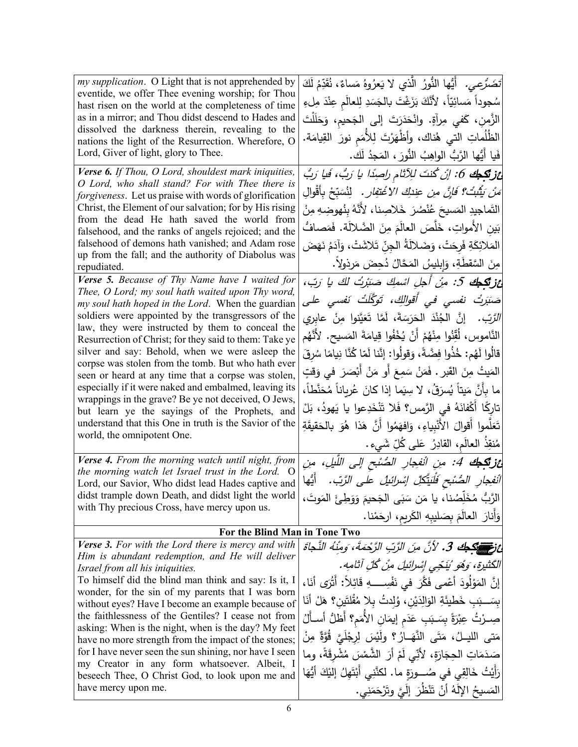| my supplication. O Light that is not apprehended by<br>eventide, we offer Thee evening worship; for Thou<br>hast risen on the world at the completeness of time<br>as in a mirror; and Thou didst descend to Hades and<br>dissolved the darkness therein, revealing to the<br>nations the light of the Resurrection. Wherefore, O<br>Lord, Giver of light, glory to Thee.<br>Verse 6. If Thou, O Lord, shouldest mark iniquities,                                                                                                                                                                                                                                                                                                                     | تَضَرَّعِي. ۚ أَيُّها النُّورُ الَّذي لا يَعِرُوهُ مَساءٌ، نُقَدِّمُ لَكَ<br>سُجوداً مَسائِيّاً، لأنَّكَ بَزَغْتَ بالجَسَدِ لِلعالَمِ عِنْدَ مِلءِ<br>الزَّمنِ، كَفي مِرآةٍ. وانْحَدَرَتَ إلى الجَحيم، وَحَلَلْتَ<br>الظُّلُماتِ التي هُناك، وأظَّهَرْتَ لِلأَمَمِ نورَ القِيامَة.<br>فَيا أَيُّها الرَّبُّ الواهِبُ النُّورَ ، المَجِدُ لَك.<br>غز <b>تَكِجُ</b> 6: إنْ كُنتَ لِلِآتَامِ راصِدًا يا رَبُّ، فَيا رَبُّ                                                                                                                                                                                                                                                                           |  |
|-------------------------------------------------------------------------------------------------------------------------------------------------------------------------------------------------------------------------------------------------------------------------------------------------------------------------------------------------------------------------------------------------------------------------------------------------------------------------------------------------------------------------------------------------------------------------------------------------------------------------------------------------------------------------------------------------------------------------------------------------------|--------------------------------------------------------------------------------------------------------------------------------------------------------------------------------------------------------------------------------------------------------------------------------------------------------------------------------------------------------------------------------------------------------------------------------------------------------------------------------------------------------------------------------------------------------------------------------------------------------------------------------------------------------------------------------------------------|--|
| O Lord, who shall stand? For with Thee there is<br>forgiveness. Let us praise with words of glorification<br>Christ, the Element of our salvation; for by His rising<br>from the dead He hath saved the world from<br>falsehood, and the ranks of angels rejoiced; and the<br>falsehood of demons hath vanished; and Adam rose<br>up from the fall; and the authority of Diabolus was<br>repudiated.                                                                                                                                                                                                                                                                                                                                                  | َ <i>مَنْ يَتَّبُتْ؟ فَإِنَّ مِن</i> ع <i>ِندكِ الاُغْتِفارِ .</i> لِنُسَبِّحْ بِأَقْوالِ<br>التَماجيدِ المَسيحَ عُنْصُرَ خَلاصِنا، لأنَّهُ بِنُهوضِهِ مِنْ<br>بَين الأمواتِ، خَلَّصَ العالَمَ مِنَ الضَّلالَة. فَمَصافٌ<br>المَلائِكَةِ فَرِحَتْ، وَضَلاَلَةُ الجِنّ تَلاشَتْ، وَآدَمُ نَهَضَ<br>مِنَ السَّقطَةِ، وَإِبليسُ المَحَّالُ دُحِضَ مَرِذُولاً.                                                                                                                                                                                                                                                                                                                                       |  |
| Verse 5. Because of Thy Name have I waited for<br>Thee, O Lord; my soul hath waited upon Thy word,<br>my soul hath hoped in the Lord. When the guardian<br>soldiers were appointed by the transgressors of the<br>law, they were instructed by them to conceal the<br>Resurrection of Christ; for they said to them: Take ye<br>silver and say: Behold, when we were asleep the<br>corpse was stolen from the tomb. But who hath ever<br>seen or heard at any time that a corpse was stolen,<br>especially if it were naked and embalmed, leaving its<br>wrappings in the grave? Be ye not deceived, O Jews,<br>but learn ye the sayings of the Prophets, and<br>understand that this One in truth is the Savior of the<br>world, the omnipotent One. | <b>غزتكجك 5:</b> مِنْ أَجلِ اسْمِكَ صَبَرْتُ لَكَ يا رَبّ،<br>صَنَرَتُ نفسی فی أَقوالِكَ، تَوَكَّلَتُ نَفسی علی<br><i>الرَّبِّ.</i> إنَّ  الجُنْدَ  الحَرَسَةَ،  لَمَّا  تَعَيَّنوا  مِنْ  عابري<br>النَّاموس، لُقِّنُوا مِنْهُمْ أَنْ يُخْفُوا قِيامَةَ المَسيح. لأَنَّهُم<br>قالُوا لَهُم: خُذُوا فِضَّةً، وَقولُوا: إِنَّنا لَمّا كُنَّا نِيامًا سُرِقَ<br>المَيتُ مِنَ القَبرِ . فَمَنْ سَمِعَ أَو مَنْ أَبْصَرَ في وَقتٍ<br>ما بأنَّ مَيتاً يُسرَقُ، لا سِيَما إذا كانَ عُرياناً مُحَنَّطاً،<br>تارِكًا أَكْفانَهُ في الرَّمسِ؟ فَلا تَنْخَدِعوا يا يَهودُ، بَلْ<br>تَعَلَّموا أقوالَ الأَنْبِياءِ، وَافهَمُوا أَنَّ هَذا هُوَ بالحَقيقَةِ<br>مُنقِذُ العالَمِ، القادِرُ عَلَى كُلِّ شَيءٍ. |  |
| Verse 4. From the morning watch until night, from<br>the morning watch let Israel trust in the Lord. O<br>Lord, our Savior, Who didst lead Hades captive and<br>didst trample down Death, and didst light the world<br>with Thy precious Cross, have mercy upon us.                                                                                                                                                                                                                                                                                                                                                                                                                                                                                   | عز تكبك 4: منِ الْنفِجارِ الصُّنْحِ إلى اللَّيلِ، منِ<br>انْفِجارِ الصُّنْحِ فَلْيَتَّكِلْ إِسْرائِيلُ على الزَّبِّ. ۖ أَيُّها<br>الرَّبُّ مُخَلِّصُنا، يا مَن سَبَى الجَحيمَ وَوَطِئَ المَوتَ،<br>وَأَنارَ  العالَمَ بِصَليبِهِ الكَريمِ، ارحَمْنا.                                                                                                                                                                                                                                                                                                                                                                                                                                             |  |
| For the Blind Man in Tone Two                                                                                                                                                                                                                                                                                                                                                                                                                                                                                                                                                                                                                                                                                                                         |                                                                                                                                                                                                                                                                                                                                                                                                                                                                                                                                                                                                                                                                                                  |  |
| <b>Verse 3.</b> For with the Lord there is mercy and with<br>Him is abundant redemption, and He will deliver<br>Israel from all his iniquities.<br>To himself did the blind man think and say: Is it, I<br>wonder, for the sin of my parents that I was born<br>without eyes? Have I become an example because of<br>the faithlessness of the Gentiles? I cease not from<br>asking: When is the night, when is the day? My feet<br>have no more strength from the impact of the stones;<br>for I have never seen the sun shining, nor have I seen<br>my Creator in any form whatsoever. Albeit, I<br>beseech Thee, O Christ God, to look upon me and<br>have mercy upon me.                                                                           | عَزْمَ السَّلَاطِك 3. لأنَّ منَ الزَّبِّ الزَّحْمَةَ، وَمِنْهُ النَّجَاةَ<br>الْكَثْنِيرَةِ، وَهُوَ 'يَنْجَى إِسْرائِيلَ مِنْ كُلِّ آثامِهِ.<br>إِنَّ المَوْلُودَ أَعْمى فَكَّرَ في نَفْسِــــهِ قَائِلاً: أَتْرَى أَنَا،<br>بِسَـــبَبِ خَطْيئَةِ الْوَالِدَيْنِ، وُلِدتُ بِلا مُقْلتَينِ؟ هَلْ أَنَا<br>صِـرْتُ عِبْرَةً بِسَـبَبِ عَدَم إيمَانِ الأَمَمِ؟ أَظَلُّ أَسـأَلُ<br>مَتى الليــلُ، مَتَى النَّهَــارُ ؟ ولَيْسَ لِرِجْلَيَّ قُوَّةٌ مِنْ<br>صَدَمَاتِ الْحِجَارَةِ، لأَنِّي لَمْ أَرَ الشَّمْسَ مُشْرِقَةً، وما<br>رَأَيْتُ خَالِقِي في صُـــورَةٍ ما. لكنَّنِي أَبْتَهِلُ إِلَيْكَ أَيُّهَا<br>المَسيحُ الإِلَهُ أَنْ تَنْظَرَ ۚ إِلَيَّ وتَرْحَمَنِي .                            |  |
|                                                                                                                                                                                                                                                                                                                                                                                                                                                                                                                                                                                                                                                                                                                                                       |                                                                                                                                                                                                                                                                                                                                                                                                                                                                                                                                                                                                                                                                                                  |  |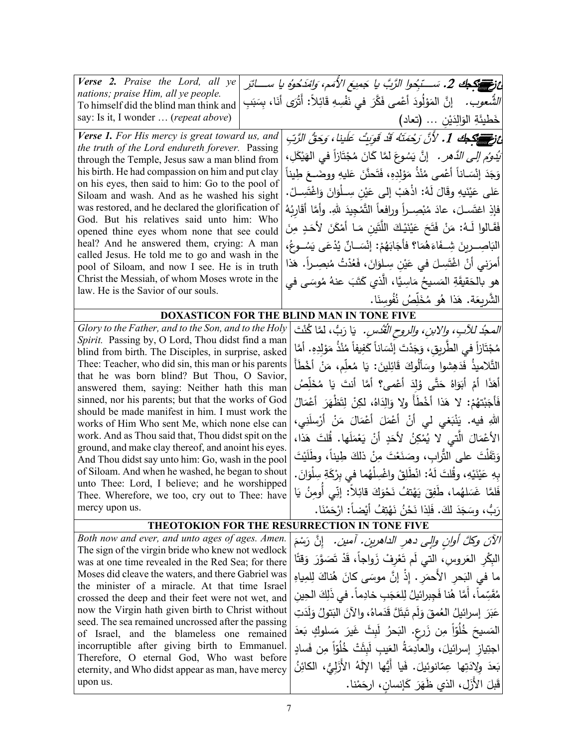| <b>Verse 2.</b> Praise the Lord, all ye                                                                   | ئ تَمِيسَ اللَّهُ بِعَامِ 2. سَـــ تَبِحُوا الرَّبَّ يا جَمِيعَ الأُمَمِ، وَامْدَحُوهُ يا ســــاثَرِ |  |
|-----------------------------------------------------------------------------------------------------------|------------------------------------------------------------------------------------------------------|--|
| nations; praise Him, all ye people.                                                                       | إنَّ المَوْلُودَ أَعْمى فَكَّرَ في نَفْسِهِ قَائِلاً: أَتْرَى أَنَا، بِسَبَبِ<br>الشَّعوب .          |  |
| To himself did the blind man think and<br>say: Is it, I wonder  (repeat above)                            |                                                                                                      |  |
|                                                                                                           | خَطيئَةِ الوَالِدَيْنِ … (تعاد)                                                                      |  |
| Verse 1. For His mercy is great toward us, and                                                            | ئ قَالِمِيَ الْمَجْمَعُ 1. لأَنَّ رَحْمَتَهُ قَدْ قَوَيتْ عَلَينا، وَحَقُّ الرَّبِّ                  |  |
| the truth of the Lord endureth forever. Passing<br>through the Temple, Jesus saw a man blind from         | َ <i>يَدُوُم إلى الدَّهر .</i> إنَّ يَسُوعَ لمَّا كَانَ مُجْتَازاً في الهَيْكَلِ،                    |  |
| his birth. He had compassion on him and put clay                                                          | وَجَدَ إِنْسَاناً أَعْمى مُنْذُ مَوْلِدِهِ، فَتَحنَّنَ عَليهِ ووضَـعَ طِيناً                         |  |
| on his eyes, then said to him: Go to the pool of                                                          |                                                                                                      |  |
| Siloam and wash. And as he washed his sight                                                               | عَلى عَيْنَيهِ وقَالَ لَهُ: اذْهَبْ إِلى عَيْنِ سِـلْوَانَ وَاغْتَسِــلْ.                            |  |
| was restored, and he declared the glorification of                                                        | فإذِ اغتَسـلَ، عادَ مُبْصِــراً ورافعاً التَّمْجِيدَ للهِ. وأمَّا أقَارِبُهُ                         |  |
| God. But his relatives said unto him: Who                                                                 | فَقَـالُوا لَـهُ: مَنْ فَتَحَ عَيْنَيْكَ اللَّتَينِ مَـا أَمْكَنَ لأَحَـدٍ مِنَ                      |  |
| opened thine eyes whom none that see could                                                                |                                                                                                      |  |
| heal? And he answered them, crying: A man<br>called Jesus. He told me to go and wash in the               | البَاصِــرِينَ شِــفَاءَهُمَا؟ فأَجَابَهُمْ: إِنْسَــانٌ يُدْعَى يَسُــوعُ،                          |  |
| pool of Siloam, and now I see. He is in truth                                                             | أَمرَني أَنْ اغْتَسِلَ في عَيْنِ سِلْوَانَ، فَعُدْتُ مُبصِـراً. هَذا                                 |  |
| Christ the Messiah, of whom Moses wrote in the                                                            | هو بالحَقيقَةِ المَسيحُ مَاسِيًّا، الَّذي كَتَبَ عنهُ مُوسَى في                                      |  |
| law. He is the Savior of our souls.                                                                       |                                                                                                      |  |
|                                                                                                           | الشَّرِيعَة. هَذا هُو مُخَلِّصُ نُفُوسنَا.                                                           |  |
|                                                                                                           | <b>DOXASTICON FOR THE BLIND MAN IN TONE FIVE</b>                                                     |  |
| Glory to the Father, and to the Son, and to the Holy<br>Spirit. Passing by, O Lord, Thou didst find a man | <i>المجدُ للآبِ، والابنِ، والروحِ الْقُدْسِ.</i> يَا رَبُّ، لمَّا كُنْتَ                             |  |
| blind from birth. The Disciples, in surprise, asked                                                       | مُجْتَازاً في الطَّريقِ، وَجَدْتَ إِنْسَاناً كَفِيفاً مُنْذُ مَوْلِدِهِ. أَمَّا                      |  |
| Thee: Teacher, who did sin, this man or his parents                                                       | التَّلاميذُ فَدَهِشوا وسَأَلُوكَ قَائِلينَ: يَا مُعلِّم، مَنْ أَخْطَأَ                               |  |
| that he was born blind? But Thou, O Savior,                                                               |                                                                                                      |  |
| answered them, saying: Neither hath this man                                                              | أَهَذَا أَمْ أَبَوَاهُ حَتَّى وُلِدَ أَعْمى؟ أَمَّا أَنتَ يَا مُخَلِّصُ                              |  |
| sinned, nor his parents; but that the works of God                                                        | فَأَجَبْتهُمْ: لا هَذا أَخْطَأَ ولا وَالِدَاهُ، لكِنْ لِتَظْهَرَ أَعْمَالُ                           |  |
| should be made manifest in him. I must work the<br>works of Him Who sent Me, which none else can          | اللهِ فيه. يَنْبَغي لي أَنْ أَعْمَلَ أَعْمَالَ مَنْ أَرْسِلَنِي،                                     |  |
| work. And as Thou said that, Thou didst spit on the                                                       | الأعْمَالَ الَّتي لا يُمْكِنُ لأَحَدٍ أَنْ يَعْمَلَها. قُلتَ هَذا،                                   |  |
| ground, and make clay thereof, and anoint his eyes.                                                       |                                                                                                      |  |
| And Thou didst say unto him: Go, wash in the pool                                                         | وَتَفَلْتَ على التُّرابِ، وصَنَعْتَ مِنْ ذلكَ طِيناً، وطُلَيْتَ                                      |  |
| of Siloam. And when he washed, he began to shout<br>unto Thee: Lord, I believe; and he worshipped         | بِهِ عَيْنَيْهِ، وقُلتَ لَهُ: انْطَلِقْ واغْسِلْهُما في بِرْكَةِ سِلْوَانَ.                          |  |
| Thee. Wherefore, we too, cry out to Thee: have                                                            | فَلمَّا غَسَلهُما، طَفِقَ يَهْتفُ نَحْوَكَ قائِلاً: إنِّي أُومنُ يَا                                 |  |
| mercy upon us.                                                                                            | رَبُّ، وسَجَدَ لكَ. فَلِذا نَحْنُ نَهْتِفُ أَيْضاً: ارْحَمْنَا.                                      |  |
|                                                                                                           | THEOTOKION FOR THE RESURRECTION IN TONE FIVE                                                         |  |
| Both now and ever, and unto ages of ages. Amen.                                                           | الآنَ وكلَّ أوانٍ وإلى دهرِ الداهرينِ. آمين. ﴿إِنَّ رَسْمَ                                           |  |
| The sign of the virgin bride who knew not wedlock                                                         | الْبِكْرِ الْعَرُوسِ، الَّتِي لَم تَعْرِفْ زَواجاً، قَدْ تَصَوَّرَ وَقِتًا                           |  |
| was at one time revealed in the Red Sea; for there<br>Moses did cleave the waters, and there Gabriel was  |                                                                                                      |  |
| the minister of a miracle. At that time Israel                                                            | ما في البَحرِ الأحمَرِ . إذْ إنَّ موسَى كانَ هُناكَ لِلمِياهِ                                        |  |
| crossed the deep and their feet were not wet, and                                                         | مُقَسِّماً، أَمَّا هُنا فَجبرائيلُ لِلعَجَبِ خادِماً. في ذَلِكَ الْحِين                              |  |
| now the Virgin hath given birth to Christ without                                                         | عَبَرَ  إسرائيلُ العُمقَ وَلَم تَبتَلَّ قَدَماهُ، والآنَ البَتولُ وَلَدَتِ                           |  |
| seed. The sea remained uncrossed after the passing<br>of Israel, and the blameless one remained           | المَسيحَ خُلُوّاً مِن زَرعٍ. البَحرُ لَبِثَ غَيرَ مَسلوكٍ بَعدَ                                      |  |
| incorruptible after giving birth to Emmanuel.                                                             | اجتِياز ۖ إسرائيلَ، والعادِمَةُ العَيبِ لَبِثَتْ خُلُوّاً مِن فَسادٍ                                 |  |
| Therefore, O eternal God, Who wast before                                                                 | بَعدَ وِلِادَتِها عِمّانوئيلَ. فَيا أَيُّها الإِلَهُ الأَزّليُّ، الكائِنُ                            |  |
| eternity, and Who didst appear as man, have mercy                                                         |                                                                                                      |  |
| upon us.                                                                                                  | قَبلَ الأَزَلِ، الذي ظَهَرَ كَإِنسانٍ، ارحَمْنا.                                                     |  |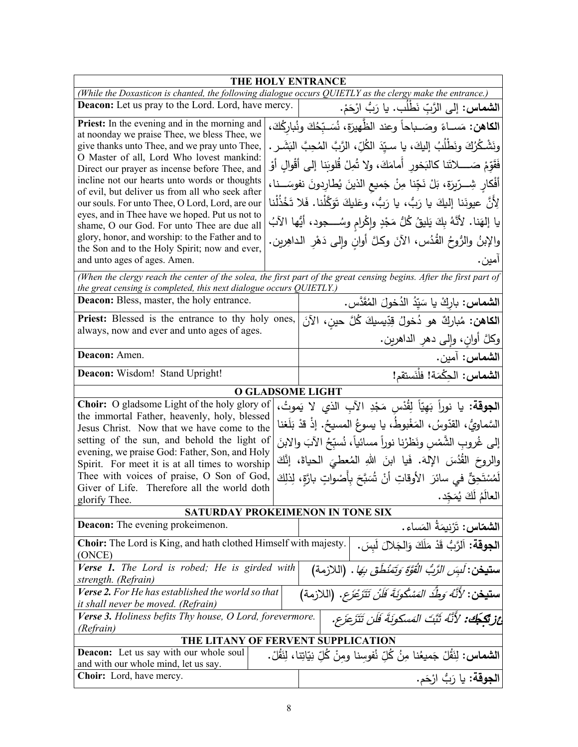| THE HOLY ENTRANCE                                                                                                                                                                                                                                                                                                                                                                                                                                                                                                                                                                                                                        |  |                                                                                                                                                                                                                                                                                                                                                                                                                                                                                                                                                                                 |  |
|------------------------------------------------------------------------------------------------------------------------------------------------------------------------------------------------------------------------------------------------------------------------------------------------------------------------------------------------------------------------------------------------------------------------------------------------------------------------------------------------------------------------------------------------------------------------------------------------------------------------------------------|--|---------------------------------------------------------------------------------------------------------------------------------------------------------------------------------------------------------------------------------------------------------------------------------------------------------------------------------------------------------------------------------------------------------------------------------------------------------------------------------------------------------------------------------------------------------------------------------|--|
|                                                                                                                                                                                                                                                                                                                                                                                                                                                                                                                                                                                                                                          |  | (While the Doxasticon is chanted, the following dialogue occurs QUIETLY as the clergy make the entrance.)                                                                                                                                                                                                                                                                                                                                                                                                                                                                       |  |
| <b>Deacon:</b> Let us pray to the Lord. Lord, have mercy.<br>ا <b>لشماس:</b> إلى الرَّبِّ نَطْلَب. يا رَبُّ ارْحَمْ.                                                                                                                                                                                                                                                                                                                                                                                                                                                                                                                     |  |                                                                                                                                                                                                                                                                                                                                                                                                                                                                                                                                                                                 |  |
| Priest: In the evening and in the morning and<br>at noonday we praise Thee, we bless Thee, we<br>give thanks unto Thee, and we pray unto Thee,<br>O Master of all, Lord Who lovest mankind:<br>Direct our prayer as incense before Thee, and<br>incline not our hearts unto words or thoughts<br>of evil, but deliver us from all who seek after<br>our souls. For unto Thee, O Lord, Lord, are our<br>eyes, and in Thee have we hoped. Put us not to<br>shame, O our God. For unto Thee are due all<br>glory, honor, and worship: to the Father and to<br>the Son and to the Holy Spirit; now and ever,<br>and unto ages of ages. Amen. |  | ا <b>لكاهن:</b> مَســاءً وصَــباحاً وعند الظّهيرَة، نُسَـبّحُكَ ونُباركُكَ،<br>ونَشْكُرُكَ ونَطْلُبُ إليكَ، يا سـيّدَ الكُلِّ، الرَّبَّ المُحِبَّ البَشَـرِ .<br>فَقَوّمْ صَـــــلاتَنا كالنَخور أمامَكَ، ولا تُمِلْ قُلوبَنا إلى أقْوالِ أوْ<br>أَفْكارِ شِـــرّيرَة، بَلْ نَجِّنا مِنْ جَميعِ الذينَ يُطارِدونَ نفوسَـــنا،<br>لِأَنَّ عيونَنا إليكَ يا رَبُّ، يا رَبُّ، وعَليكَ تَوَكَّلْنا. فَلا تَخْذُلْنا<br>يا إلهَنا. لأنَّهُ بِكَ يَليقُ كُلُّ مَجْدٍ وإكْرام وسُــــجود، أيُّها الآبُ<br>والإبنُ والرُوحُ القُدُس، الأنَ وكلَّ أوانِ وإلى دَهْرِ الداهِرين.<br>امين . |  |
| the great censing is completed, this next dialogue occurs QUIETLY.)                                                                                                                                                                                                                                                                                                                                                                                                                                                                                                                                                                      |  | (When the clergy reach the center of the solea, the first part of the great censing begins. After the first part of                                                                                                                                                                                                                                                                                                                                                                                                                                                             |  |
| <b>Deacon:</b> Bless, master, the holy entrance.                                                                                                                                                                                                                                                                                                                                                                                                                                                                                                                                                                                         |  | ا <b>لشماس:</b> باركْ يا سَيّدُ الدُخولَ المُقَدَّس.                                                                                                                                                                                                                                                                                                                                                                                                                                                                                                                            |  |
| <b>Priest:</b> Blessed is the entrance to thy holy ones,                                                                                                                                                                                                                                                                                                                                                                                                                                                                                                                                                                                 |  | ا <b>لكاهن:</b> مُباركٌ هو دُخولُ قِدِّيسيكَ كُلَّ حينِ، الآنَ                                                                                                                                                                                                                                                                                                                                                                                                                                                                                                                  |  |
| always, now and ever and unto ages of ages.                                                                                                                                                                                                                                                                                                                                                                                                                                                                                                                                                                                              |  | وكلَّ أوان، وإلى دهر الداهرين.                                                                                                                                                                                                                                                                                                                                                                                                                                                                                                                                                  |  |
| Deacon: Amen.                                                                                                                                                                                                                                                                                                                                                                                                                                                                                                                                                                                                                            |  | ا <b>لشماس:</b> آمين.                                                                                                                                                                                                                                                                                                                                                                                                                                                                                                                                                           |  |
| Deacon: Wisdom! Stand Upright!                                                                                                                                                                                                                                                                                                                                                                                                                                                                                                                                                                                                           |  | الشماس: الحِكْمَة! فلْنَستقم!                                                                                                                                                                                                                                                                                                                                                                                                                                                                                                                                                   |  |
|                                                                                                                                                                                                                                                                                                                                                                                                                                                                                                                                                                                                                                          |  | <b>O GLADSOME LIGHT</b>                                                                                                                                                                                                                                                                                                                                                                                                                                                                                                                                                         |  |
| Choir: O gladsome Light of the holy glory of<br>the immortal Father, heavenly, holy, blessed<br>Jesus Christ. Now that we have come to the<br>setting of the sun, and behold the light of<br>evening, we praise God: Father, Son, and Holy<br>Spirit. For meet it is at all times to worship<br>Thee with voices of praise, O Son of God,<br>Giver of Life. Therefore all the world doth<br>glorify Thee.                                                                                                                                                                                                                                |  | ا <b>لجوقة:</b> يا نوراً بَهِيّاً لِقُدْس مَجْدِ الآبِ الذي لا يَموتُ،<br>السَّماويُّ، القدّوسُ، المَغْبوطُ، يا يسوعُ المسيحُ. إذْ قدْ بَلَغنا<br>إلى غُروبِ الشَّمْسِ ونَظرْنا نوراً مسائياً، نُسبِّحُ الآبَ والابنَ<br>والروحَ القُدُسَ الإِلهَ. فَيا ابنَ اللهِ المُعطيَ الحياةَ، إنَّكَ<br>لَمُسْتَحِقٌّ في سائرَ  الأوقاتِ  أَنْ  ثُسَبَّحَ بِأَصْواتٍ  بارَّةٍ،  لِذلِكَ<br>العالَمُ لَكَ يُمَجِّد.                                                                                                                                                                       |  |
|                                                                                                                                                                                                                                                                                                                                                                                                                                                                                                                                                                                                                                          |  | SATURDAY PROKEIMENON IN TONE SIX                                                                                                                                                                                                                                                                                                                                                                                                                                                                                                                                                |  |
| <b>Deacon:</b> The evening prokeimenon.<br>Choir: The Lord is King, and hath clothed Himself with majesty.                                                                                                                                                                                                                                                                                                                                                                                                                                                                                                                               |  | ا <b>لشماس:</b> تَرْنِيمَةُ المَساء.<br>الجوقة: اَلرَّبُّ قَدْ مَلَكَ وَالجَلالَ لَبِسَ.                                                                                                                                                                                                                                                                                                                                                                                                                                                                                        |  |
| (ONCE)<br>Verse 1. The Lord is robed; He is girded with<br>strength. (Refrain)                                                                                                                                                                                                                                                                                                                                                                                                                                                                                                                                                           |  | <b>ستيخن</b> : <i>لَبِسَ الرَّبُّ الْقُوَّةَ وَتَمَنْطُقَ بِهَا</i> .  (اللازمة)                                                                                                                                                                                                                                                                                                                                                                                                                                                                                                |  |
| Verse 2. For He has established the world so that<br><b>ستيغن</b> : <i>لأَنَّهُ وَطِّدَ المَسْكُونَةَ فَلَنْ تَتَزَعْزَع</i> . (اللازمة)<br>it shall never be moved. (Refrain)                                                                                                                                                                                                                                                                                                                                                                                                                                                           |  |                                                                                                                                                                                                                                                                                                                                                                                                                                                                                                                                                                                 |  |
| عْ زِيْكَجُكَ: 'لِأَنَّهُ ثَبَّتَ المَسكونَةَ فَلَن تَتَزَعَزَع.<br>Verse 3. Holiness befits Thy house, O Lord, forevermore.<br>(Refrain)                                                                                                                                                                                                                                                                                                                                                                                                                                                                                                |  |                                                                                                                                                                                                                                                                                                                                                                                                                                                                                                                                                                                 |  |
| THE LITANY OF FERVENT SUPPLICATION                                                                                                                                                                                                                                                                                                                                                                                                                                                                                                                                                                                                       |  |                                                                                                                                                                                                                                                                                                                                                                                                                                                                                                                                                                                 |  |
| Deacon: Let us say with our whole soul<br>ا <b>لشماس:</b> لِنَقُلْ جَميعُنا مِنُ كُلِّ نُفوسنا ومنْ كُلِّ نِيّاتِنا، لِنَقُلْ.<br>and with our whole mind, let us say.                                                                                                                                                                                                                                                                                                                                                                                                                                                                   |  |                                                                                                                                                                                                                                                                                                                                                                                                                                                                                                                                                                                 |  |
| Choir: Lord, have mercy.                                                                                                                                                                                                                                                                                                                                                                                                                                                                                                                                                                                                                 |  | ا <b>لجوقة:</b> يا رَبُّ ارْحَم.                                                                                                                                                                                                                                                                                                                                                                                                                                                                                                                                                |  |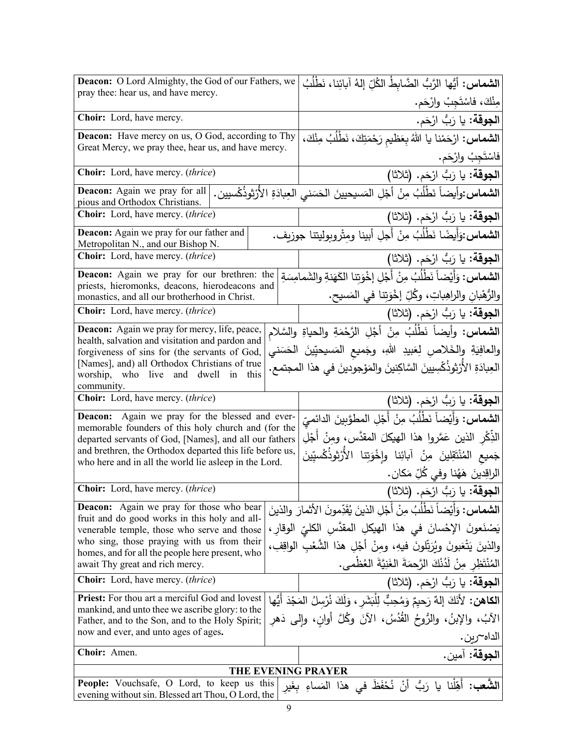| <b>Deacon:</b> O Lord Almighty, the God of our Fathers, we                                                        |  | ا <b>لشماس:</b> أيُّها الزَّبُّ الضَّابطُ الكُلِّ إلهُ آبائِنا، نَطْلُبُ                      |
|-------------------------------------------------------------------------------------------------------------------|--|-----------------------------------------------------------------------------------------------|
| pray thee: hear us, and have mercy.                                                                               |  | مِنْكَ، فاسْتَجِبْ وارْحَم.                                                                   |
| Choir: Lord, have mercy.                                                                                          |  | ا <b>لجوقة:</b> يا رَبُّ ارْحَم.                                                              |
| <b>Deacon:</b> Have mercy on us, O God, according to Thy                                                          |  | ا <b>لشماس:</b> ارْحَمْنا يا اللهُ بِعَظيم رَحْمَتِكَ، نَطْلُبُ مِنْكَ،                       |
| Great Mercy, we pray thee, hear us, and have mercy.                                                               |  | فاسْتَجِبْ وارْحَم.                                                                           |
| Choir: Lord, have mercy. (thrice)                                                                                 |  | ا <b>لجوقة:</b> يا رَبُّ ارْحَم. (ثلاثا)                                                      |
| Deacon: Again we pray for all<br>pious and Orthodox Christians.                                                   |  | ا <b>لشماس:</b> وأيضاً نَطْلُبُ مِنْ أَجْلِ المَسيحيينَ الحَسَني العِبادَةِ الأُرْثوذُكْسيين. |
| Choir: Lord, have mercy. (thrice)                                                                                 |  | ا <b>لجوقة:</b> يا رَبُّ ارْحَم. (ثلاثا)                                                      |
| Deacon: Again we pray for our father and<br>Metropolitan N., and our Bishop N.                                    |  | ا <b>لشماس:</b> وَأيضًا نَطْلُبُ مِنْ أَجلِ أبينا ومِتْروبوليتنا جوزيف.                       |
| Choir: Lord, have mercy. (thrice)                                                                                 |  | ا <b>لجوقة:</b> يا رَبُّ ارْحَم. (ثلاثا)                                                      |
| <b>Deacon:</b> Again we pray for our brethren: the                                                                |  | ا <b>لشماس:</b> وَأَيْضاً نَطْلُبُ مِنْ أَجْلِ إخْوَتِنا الكَهَنةِ والشَمامِسَةِ              |
| priests, hieromonks, deacons, hierodeacons and<br>monastics, and all our brotherhood in Christ.                   |  | والرُّهْبانِ والراهِباتِ، وكُلِّ إخْوَتِنا في المَسيح.                                        |
| Choir: Lord, have mercy. (thrice)                                                                                 |  | ا <b>لجوقة:</b> يا رَبُّ ارْحَم. (ثلاثا)                                                      |
| <b>Deacon:</b> Again we pray for mercy, life, peace,                                                              |  | ا <b>لشماس:</b> وأيضاً نَطْلُبُ مِنْ أَجْلِ الرَّحْمَةِ والحياةِ والسَّلام                    |
| health, salvation and visitation and pardon and<br>forgiveness of sins for (the servants of God,                  |  | والعافِيَةِ والخَلاصِ لِعَبيدِ اللهِ، وجَميع المَسيحيِّينَ الحَسَني                           |
| [Names], and) all Orthodox Christians of true<br>worship, who live and dwell in<br>this                           |  | العِبادَةِ الأَرْثِوذَكْسِيينَ السَّاكِنينَ والمَوْجودينَ في هذا المجتمع.                     |
| community.<br>Choir: Lord, have mercy. (thrice)                                                                   |  |                                                                                               |
|                                                                                                                   |  | ا <b>لجوقة:</b> يا رَبُّ ارْحَم. (ثلاثا)                                                      |
| <b>Deacon:</b> Again we pray for the blessed and ever-<br>memorable founders of this holy church and (for the     |  | ا <b>لشماس:</b> وَأَيْضاً نَطْلُبُ مِنْ أَجْلِ المطوَّبِينَ الدائميِّ                         |
| departed servants of God, [Names], and all our fathers                                                            |  | الذِّكْرِ الذينِ عَمَّروا هذا الهيكلَ المقدَّس، ومِنْ أَجْلِ                                  |
| and brethren, the Orthodox departed this life before us,<br>who here and in all the world lie asleep in the Lord. |  | جَميع المُنْتَقِلينَ مِنْ آبائِنا وإِخْوَتِنا الأَرْثوذُكْسيِّينَ                             |
|                                                                                                                   |  | الراقِدينَ هَهُنا وفي كُلِّ مَكان.                                                            |
| <b>Choir:</b> Lord, have mercy. (thrice)                                                                          |  | ا <b>لجوقة:</b> يا رَبُّ ارْحَم. (ثلاثا)                                                      |
| Deacon: Again we pray for those who bear<br>fruit and do good works in this holy and all-                         |  | ا <b>لشماس:</b> وَأَيْضاً نَطْلُبُ مِنْ أَجْلِ الذينَ يُقَدِّمونَ الأَثمارَ والذينَ           |
| venerable temple, those who serve and those                                                                       |  | يَصْنَعونَ الإحْسانَ في هذا الهيكلِ المقدَّسِ الكليِّ الوقارِ ،                               |
| who sing, those praying with us from their<br>homes, and for all the people here present, who                     |  | والذينَ يَتْعَبونَ وبُرَتِّلونَ فيهِ، ومنْ أَجْلِ هذا الشُّعْبِ الواقِفِ،                     |
| await Thy great and rich mercy.                                                                                   |  | المُنْتَظِرِ مِنْ لَدُنْكَ الرَّحِمَةَ الغَنِيَّةَ العُظْمي.                                  |
| <b>Choir:</b> Lord, have mercy. <i>(thrice)</i>                                                                   |  | ا <b>لجوقة:</b> يا رَبُّ ارْحَم. (ثلاثا)                                                      |
| <b>Priest:</b> For thou art a merciful God and lovest                                                             |  | ا <b>لكاهن:</b> لأَنَكَ إِلهٌ رَحيمٌ وَمُحِبٌّ لِلْبَشَرِ ، وَلَكَ نُرْسِلُ المَجْدَ أَيُّها  |
| mankind, and unto thee we ascribe glory: to the<br>Father, and to the Son, and to the Holy Spirit;                |  | الآبُ، والإبنُ، والرُّوحُ القُدُسُ، الآنَ وكُلَّ أوان، وإلى دَهر                              |
| now and ever, and unto ages of ages.                                                                              |  | الداه~رين.                                                                                    |
| Choir: Amen.                                                                                                      |  | الجوقة: آمين.                                                                                 |
|                                                                                                                   |  | <b>THE EVENING PRAYER</b>                                                                     |
| People: Vouchsafe, O Lord, to keep us this                                                                        |  | ا <b>لشَّعب:</b> أَهِّلْنا يا رَبُّ أَنْ نُحْفَظَ فى هذا المَساءِ بِغَير                      |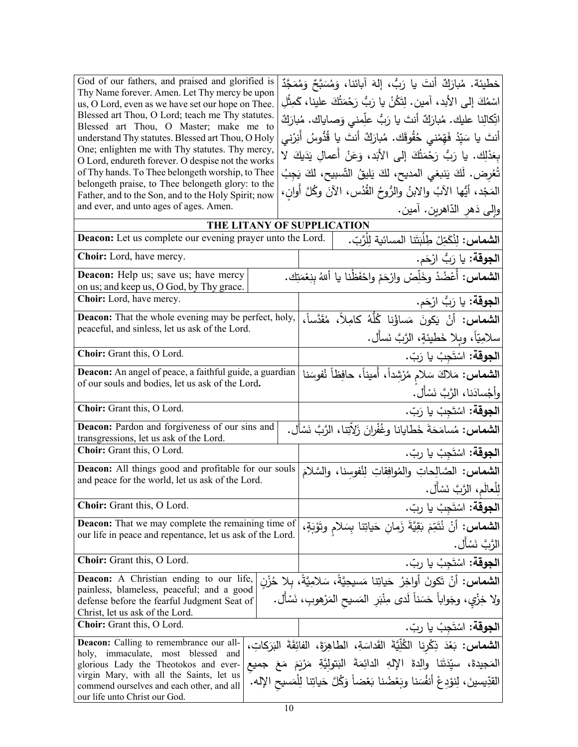|                                                     | THE LITANY OF SUPPLICATION                                               |
|-----------------------------------------------------|--------------------------------------------------------------------------|
| and ever, and unto ages of ages. Amen.              | وإلى دَهر الدّاهرين. آمين.                                               |
| Father, and to the Son, and to the Holy Spirit; now | المَجْد، أَيُّها الآبُ والابنُ والرُّوحُ القُدُسِ، الآنَ وكُلَّ أَوانٍ،  |
| belongeth praise, to Thee belongeth glory: to the   |                                                                          |
| of Thy hands. To Thee belongeth worship, to Thee    | تُعْرِض. لَكَ يَنبغي المديح، لكَ يَليقُ التِّسبيح، لكَ يَجِبُ            |
| O Lord, endureth forever. O despise not the works   | بِعَدْلِك. يا رَبُّ رَحْمَتُكَ إِلى الأَبَد، وَعَنْ أَعمالٍ يَدَيكَ لا   |
| One; enlighten me with Thy statutes. Thy mercy,     |                                                                          |
| understand Thy statutes. Blessed art Thou, O Holy   | أنتَ يا سَيِّدُ فَهِّمْنـى حُقُوقَك. مُبارَكٌ أنتَ يا قُدُّوسُ أُنِرْنـى |
| Blessed art Thou, O Master; make me to              | اتِّكالِنا عليك. مُبارَكٌ أنتَ يا رَبُّ علِّمنى وَصاياك. مُبارَكٌ        |
| Blessed art Thou, O Lord; teach me Thy statutes.    |                                                                          |
| us, O Lord, even as we have set our hope on Thee.   | اسْمُكَ إِلـى الأَبد، آمين. لِتَكُنْ يا رَبُّ رَحْمَتُكَ علينا، كَمِثْلِ |
| Thy Name forever. Amen. Let Thy mercy be upon       | خطيئة. مُبارَكٌ أَنتَ يا رَبُّ، إِلهَ آبائنا، وَمُسَبَّحٌ وَمُمَجَّدٌ    |
| God of our fathers, and praised and glorified is    |                                                                          |

| THE EITANT OF SUITERCATION                                                                                                                                                                                                                       |                                                                                                                                                                                                                                                                           |
|--------------------------------------------------------------------------------------------------------------------------------------------------------------------------------------------------------------------------------------------------|---------------------------------------------------------------------------------------------------------------------------------------------------------------------------------------------------------------------------------------------------------------------------|
| <b>Deacon:</b> Let us complete our evening prayer unto the Lord.                                                                                                                                                                                 | ا <b>لشماس</b> : لِنُكَمِّلْ طِلْبَتَنا المسائية لِلْرَّبّ.                                                                                                                                                                                                               |
| Choir: Lord, have mercy.                                                                                                                                                                                                                         | ا <b>لجوقة:</b> يا رَبُّ ارْحَم.                                                                                                                                                                                                                                          |
| <b>Deacon:</b> Help us; save us; have mercy<br>on us; and keep us, O God, by Thy grace.                                                                                                                                                          | ا <b>لشماس:</b> أُعْضُدْ وخَلِّصْ وارْحَمْ واحْفَظْنا يا أللهُ بنِعْمَتِك.                                                                                                                                                                                                |
| Choir: Lord, have mercy.                                                                                                                                                                                                                         | ا <b>لجوقة:</b> يا رَبُّ ارْحَم.                                                                                                                                                                                                                                          |
| Deacon: That the whole evening may be perfect, holy,<br>peaceful, and sinless, let us ask of the Lord.                                                                                                                                           | ا <b>لشماس:</b> أَنْ يَكونَ مَساؤُنا كُلُّهُ كَامِلاً، مُقَدَّساً،<br>سلامِيّاً، ويلا خَطيئةٍ، الرَّبَّ نَسأَل.                                                                                                                                                           |
| Choir: Grant this, O Lord.                                                                                                                                                                                                                       | ا <b>لجوقة:</b> اسْتَجِبْ يا رَبّ.                                                                                                                                                                                                                                        |
| Deacon: An angel of peace, a faithful guide, a guardian<br>of our souls and bodies, let us ask of the Lord.                                                                                                                                      | ا <b>لشماس:</b> مَلاكَ سَلامٍ مُرْشِداً، أَميناً، حافِظاً نُفوسَنا<br>وأجْسادَنا، الرَّبَّ نَسْأَل.                                                                                                                                                                       |
| Choir: Grant this, O Lord.                                                                                                                                                                                                                       | ا <b>لجوقة:</b> اسْتَجِبْ يا رَبّ.                                                                                                                                                                                                                                        |
| Deacon: Pardon and forgiveness of our sins and<br>transgressions, let us ask of the Lord.                                                                                                                                                        | ا <b>لشماس:</b> مُسامَحَةَ خَطايانا وغُفْرانَ زَلاِّتِنا، الرَّبَّ نَسْأَل.                                                                                                                                                                                               |
| Choir: Grant this, O Lord.                                                                                                                                                                                                                       | ا <b>لجوقة:</b> اسْتَجِبْ يا ربّ.                                                                                                                                                                                                                                         |
| Deacon: All things good and profitable for our souls<br>and peace for the world, let us ask of the Lord.                                                                                                                                         | الشماس: الصَّالِحاتِ والمُوافِقاتِ لِنُفوسنا، والسَّلامَ<br>لِلْعالَمِ، الرَّبَّ نَسْأَل.                                                                                                                                                                                 |
| Choir: Grant this, O Lord.                                                                                                                                                                                                                       | ا <b>لجوقة</b> : اسْتَجِبْ يا ربّ.                                                                                                                                                                                                                                        |
| <b>Deacon:</b> That we may complete the remaining time of<br>our life in peace and repentance, let us ask of the Lord.                                                                                                                           | ا <b>لشماس:</b> أَنْ نُتَمِّمَ بَقِيَّةَ زَمانِ حَياتِنا بِسَلام وتَوْبَةٍ،<br>الرَّبَّ نَسْأَل.                                                                                                                                                                          |
| Choir: Grant this, O Lord.                                                                                                                                                                                                                       | ا <b>لجوقة:</b> اسْتَجِبْ يا ربّ.                                                                                                                                                                                                                                         |
| Deacon: A Christian ending to our life,<br>painless, blameless, peaceful; and a good<br>defense before the fearful Judgment Seat of<br>Christ, let us ask of the Lord.                                                                           | ا <b>لشماس:</b> أنْ تَكونَ أواخِرُ حَياتِنا مَسيحِيَّةً، سَلامِيَّةً، بِلا حُزْنِ<br>ولا خِزْيٍ، وجَواباً حَسَناً لَدى مِنْبَرِ  المَسيح المَرْهوبِ، نَسْأَل.                                                                                                             |
| Choir: Grant this, O Lord.                                                                                                                                                                                                                       | ا <b>لجوقة:</b> اسْتَجِبْ يا ربّ.                                                                                                                                                                                                                                         |
| Deacon: Calling to remembrance our all-<br>holy, immaculate, most blessed and<br>glorious Lady the Theotokos and ever-<br>virgin Mary, with all the Saints, let us<br>commend ourselves and each other, and all<br>our life unto Christ our God. | ا <b>لشماس:</b> بَعْدَ ذِكْرِنا الظُلِّيَّةَ القَداسَةِ، الطاهِرَةَ، الفائِقَةَ البَرَكاتِ،<br>المَجيدةَ، سيِّدَتَنا والِدةَ الإِلهِ الدائِمَةَ البَتولِيَّةِ مَرْيَمَ مَعَ جميع<br>القدِّيسينَ، لِنوْدِعْ أَنفُسَنا وبَعْضُنا بَعْضاً وَكُلَّ حَياتِنا لِلْمَسيحِ الإله. |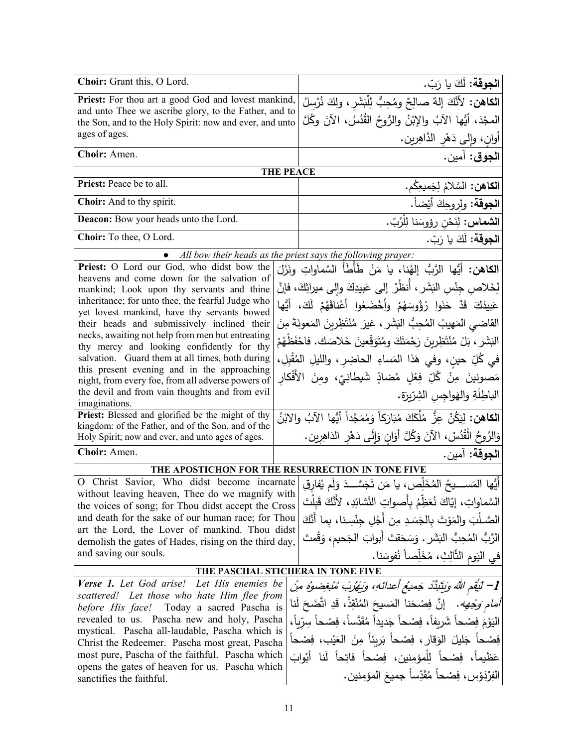| Choir: Grant this, O Lord.                                                                                       |                  | ا <b>لجوقة:</b> لَكَ يا رَبّ.                                                                                    |  |
|------------------------------------------------------------------------------------------------------------------|------------------|------------------------------------------------------------------------------------------------------------------|--|
| Priest: For thou art a good God and lovest mankind,                                                              |                  | ا <b>لكاهن:</b> لأَنَّكَ إِلهٌ صالِحٌ ومُحِبٌّ لِلْبَشَرِ ، ولِكَ نُرْسِلُ                                       |  |
| and unto Thee we ascribe glory, to the Father, and to<br>the Son, and to the Holy Spirit: now and ever, and unto |                  | الممجْدَ، أَيُّها الآبُ والإِبْنُ والرُّوحُ القُدُسُ، الآنَ وكُلَّ                                               |  |
| ages of ages.                                                                                                    |                  | أُوانِ، وَإِلَى دَهْرِ الدَّاهِرِينِ.                                                                            |  |
| Choir: Amen.                                                                                                     |                  | ا <b>لجوق</b> : آمين.                                                                                            |  |
|                                                                                                                  | <b>THE PEACE</b> |                                                                                                                  |  |
| Priest: Peace be to all.                                                                                         |                  | ا <b>لكاهن:</b> السَّلامُ لِجَميعِكُم.                                                                           |  |
| Choir: And to thy spirit.                                                                                        |                  | ا <b>لجوقة</b> : ولروحِكَ أيْضاً.                                                                                |  |
| Deacon: Bow your heads unto the Lord.                                                                            |                  | ا <b>لشماس:</b> لِنَحْن رؤوسَنا لِلْرَّبّ.                                                                       |  |
| Choir: To thee, O Lord.                                                                                          |                  | ا <b>لجوقة:</b> لَكَ يا رَبّ.                                                                                    |  |
| $\bullet$                                                                                                        |                  | All bow their heads as the priest says the following prayer:                                                     |  |
| Priest: O Lord our God, who didst bow the                                                                        |                  | ا <b>لكاهن:</b> أيُّها الرَّبُّ إلهُنا، يا مَنْ طَأَطَأُ السَّماواتِ ونَزَلَ                                     |  |
| heavens and come down for the salvation of<br>mankind; Look upon thy servants and thine                          |                  | لِخَلاص جِنْسِ البَشَرِ ، أَنظُرْ ۖ إِلَى عَبِيدِكَ وإِلَى ميراثِكَ، فإنَّ                                       |  |
| inheritance; for unto thee, the fearful Judge who                                                                |                  | عَبِيدَكَ قَدْ حَنَوا رُؤُوسَهُمْ وأَخْضَعُوا أَعْناقَهُمْ لَكَ، أَيُّها                                         |  |
| yet lovest mankind, have thy servants bowed                                                                      |                  |                                                                                                                  |  |
| their heads and submissively inclined their<br>necks, awaiting not help from men but entreating                  |                  | القاضي المَهيبُ المُحِبُّ البَشَرِ ، غيرَ مُنْتَظِرِينَ المَعونَةَ مِنَ                                          |  |
| thy mercy and looking confidently for thy                                                                        |                  | البَشَرِ ، بَلْ مُنْتَظِرِينَ رَحْمَتَكَ ومُتَوَقِّعينَ خَلاصَك. فاحْفَظْهُمْ                                    |  |
| salvation. Guard them at all times, both during                                                                  |                  | في كُلِّ حين، وفي هَذا المَساءِ الحاضِرِ، والليلِ المُقْبِلِ،                                                    |  |
| this present evening and in the approaching<br>night, from every foe, from all adverse powers of                 |                  | مَصونينَ مِنْ كُلِّ فِعْلِ مُضادٍّ شَيطانِيِّ، ومنَ الأَفْكارِ                                                   |  |
| the devil and from vain thoughts and from evil                                                                   |                  | الباطِلَةِ والهَواجِسِ الشِرّيرَةِ.                                                                              |  |
| imaginations.                                                                                                    |                  |                                                                                                                  |  |
| Priest: Blessed and glorified be the might of thy<br>kingdom: of the Father, and of the Son, and of the          |                  | ا <b>لكاهن:</b> لِيَكُنْ عِزُّ مُلْكَكَ مُبَارَكاً وَمُمَجَّداً أَيُّها الآبُ والابْنُ                           |  |
| Holy Spirit; now and ever, and unto ages of ages.                                                                |                  | وَالرُوحُ الْقُدُسْ، الآنَ وَكُلَّ أَوَانِ وَإِلَى دَهْرِ الذَاهِرِينِ.                                          |  |
| Choir: Amen.                                                                                                     |                  | ا <b>لجوقة:</b> آمين.                                                                                            |  |
|                                                                                                                  |                  | THE APOSTICHON FOR THE RESURRECTION IN TONE FIVE                                                                 |  |
|                                                                                                                  |                  | O Christ Savior, Who didst become incarnate أَيُّها المَمَســدِحُ الْمُخَلِّص، يا مَن تَجَسَّــدَ وَلَم يُفارِقِ |  |
| without leaving heaven, Thee do we magnify with<br>the voices of song; for Thou didst accept the Cross           |                  | السَّماواتِ، إيّاكَ نُعَظِّمُ بِأَصواتِ النَّشائِدِ، لأَنَّكَ قَبِلْتَ                                           |  |
| and death for the sake of our human race; for Thou                                                               |                  | الصَّـلْبَ والمَوْتَ بالجَسَدِ مِن أَجْلِ جِنْسِـنا، بما أنَّكَ                                                  |  |
| art the Lord, the Lover of mankind. Thou didst                                                                   |                  |                                                                                                                  |  |
| demolish the gates of Hades, rising on the third day,                                                            |                  | الرَّبُّ الْمُحِبُّ الْبَشَرِ . وَسَحَقتَ أَبوابَ الْجَحيمِ، وَقُمتَ                                             |  |
| and saving our souls.                                                                                            |                  | في اليَوم الثَّالِثِ، مُخَلِّصاً نُفوسَنا.                                                                       |  |
| THE PASCHAL STICHERA IN TONE FIVE                                                                                |                  |                                                                                                                  |  |
| Verse 1. Let God arise! Let His enemies be                                                                       |                  | [1– لَيُقِمِ اللَّهُ وَبَيِّبَنَّدْ جَمِيعُ أَعدائَهِ، وَبِهْرُبْ مُبْغِضوهُ مِنْ                                |  |
| scattered! Let those who hate Him flee from<br>before His face! Today a sacred Pascha is                         |                  | <i>أمام وَجْهه.</i> إنَّ فِصْحَنا المَسيحَ المُنْقِذْ، قَدِ اتَّضَحَ لَنا                                        |  |
| revealed to us. Pascha new and holy, Pascha                                                                      |                  | اليَوْمَ فِصْحاً شَرِيفاً، فِصْحاً جَدِيداً مُقَدَّساً، فِصْحاً سِرِّياً،                                        |  |
| mystical. Pascha all-laudable, Pascha which is                                                                   |                  | فِصْحاً جَليلَ الوَقارِ ، فِصْحاً بَرِيئاً مِنَ العَيْبِ، فِصْحاً                                                |  |
| Christ the Redeemer. Pascha most great, Pascha<br>most pure, Pascha of the faithful. Pascha which                |                  |                                                                                                                  |  |
| opens the gates of heaven for us. Pascha which                                                                   |                  | عَظيماً، فِصْحاً لِلْمؤمِنينِ، فِصْحاً فاتِحاً لَنا أَبْوابَ                                                     |  |
| sanctifies the faithful.                                                                                         |                  | الفِرْدَوْسِ، فِصْحاً مُقَدِّساً جميعَ المؤمنين.                                                                 |  |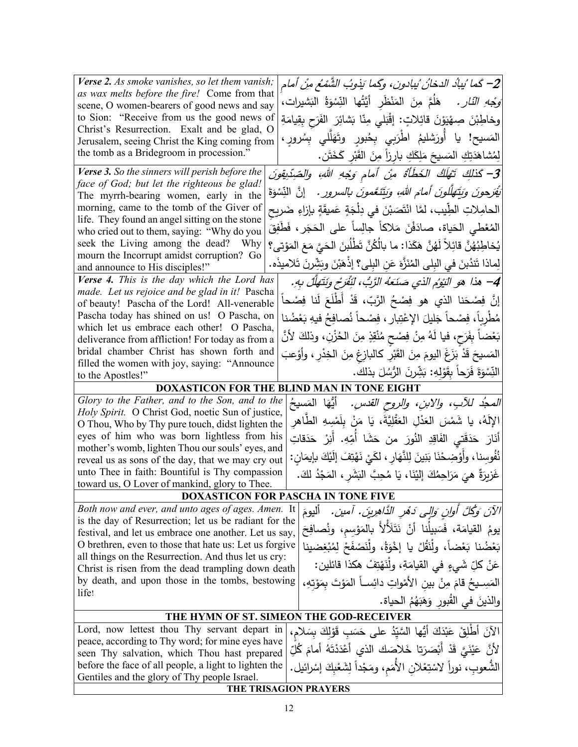| Verse 2. As smoke vanishes, so let them vanish;<br>as wax melts before the fire! Come from that             | 2– كَما ُيباُد الدخانُ ُيبادونِ، وكَما يَذوبُ الشَّمْعُ مِنْ أمام                                |  |
|-------------------------------------------------------------------------------------------------------------|--------------------------------------------------------------------------------------------------|--|
| scene, O women-bearers of good news and say                                                                 | <i>وَجْهِ النّارِ .</i> هَلُمَّ مِنَ المَنْظَرِ  أَيَّتُها  النِّسْوَةُ  البَشيرات،              |  |
| to Sion: "Receive from us the good news of                                                                  | وخاطِبْنَ صِهْيَوْنَ قَائِلاتٍ: إِقْبَلي مِنّا بَشَائِرَ الفَرَحِ بِقِيامَةِ                     |  |
| Christ's Resurrection. Exalt and be glad, O                                                                 |                                                                                                  |  |
| Jerusalem, seeing Christ the King coming from                                                               | المَسيح! يا أُورَشليمُ اطْرَبِي بِحُبورِ وتَهَلَّلي بِسُرورٍ ،                                   |  |
| the tomb as a Bridegroom in procession."                                                                    | لِمُشاهَدَتِكِ المَسيحَ مَلِكَكِ بارِزاً مِنَ القَبْرِ كَخَتَن.                                  |  |
| <b>Verse 3.</b> So the sinners will perish before the                                                       | 3- كَذَلِكَ تَهْلَكُ الْخَطَأَةُ مِنْ أَمامٍ وَجْهِ اللهِ، والصِّدِّيقِونَ                       |  |
| face of God; but let the righteous be glad!                                                                 | تُقْرَحُونَ وَيَتَهَلَّلُونَ أَمَّامَ اللهِ، وَيَتَنَعَّمُونَ بِالسَّرُورِ .   إِنَّ النِّسْوَةَ |  |
| The myrrh-bearing women, early in the                                                                       |                                                                                                  |  |
| morning, came to the tomb of the Giver of<br>life. They found an angel sitting on the stone                 | الحامِلاتِ الطِّيبِ، لمَّا انْتَصَبْنَ في دِلْجَةٍ عَميقَةٍ بإزاءِ ضَريحٍ                        |  |
| who cried out to them, saying: "Why do you                                                                  | المُعْطى الحَياة، صادَفْنَ مَلاكاً جالِساً على الحَجَرِ ، فَطَفِقَ                               |  |
| seek the Living among the dead? Why                                                                         | يُخاطِبُهُنَّ قائِلاً لَهُنَّ هَكَذا: ما بالْكُنَّ تَطْلُبِنَ الْحَيَّ مَعَ الْمَوْتِي؟          |  |
| mourn the Incorrupt amidst corruption? Go                                                                   |                                                                                                  |  |
| and announce to His disciples!"                                                                             | لِماذا تَندُبنَ في البِلِّي المُنَزَّهَ عَنِ البِلِّي؟ إذْهَبْنَ وبَشِّرنَ تَلاميذَه.            |  |
| Verse 4. This is the day which the Lord has<br>made. Let us rejoice and be glad in it! Pascha               | 4– هذا هو النِّوُم الذي صَنَعَهُ الرَّبُّ، لَنُفَرِّح ونَتَهَلَّلْ بِهِ.                         |  |
| of beauty! Pascha of the Lord! All-venerable                                                                | إِنَّ فِصْحَنا الذي هو فِصْحُ الرَّبِّ، قَدْ أَطْلَعَ لَنا فِصْحاً                               |  |
| Pascha today has shined on us! O Pascha, on                                                                 | مُطْرِباً، فِصْحاً جَليلَ الإعْتِبارِ ، فِصْحاً نُصافِحُ فيهِ بَعْضُنا                           |  |
| which let us embrace each other! O Pascha,                                                                  |                                                                                                  |  |
| deliverance from affliction! For today as from a                                                            | بَعْضاً بِفَرَحٍ، فيا لَهُ مِنْ فِصْحٍ مُنْقِذٍ مِنَ الْحُزْنِ، وذلكَ لأَنَّ                     |  |
| bridal chamber Christ has shown forth and                                                                   | المَسيحَ قَدْ بَزَغَ اليومَ مِنَ القَبْرِ كالبازِغِ مِنَ الْخِدْرِ ، وأَوْعبَ                    |  |
| filled the women with joy, saying: "Announce<br>to the Apostles!"                                           | النِّسْوَةَ فَرَحاً بِقَوْلِهِ: بَشِّرنَ الرُّسُلَ بذلك.                                         |  |
|                                                                                                             | <b>DOXASTICON FOR THE BLIND MAN IN TONE EIGHT</b>                                                |  |
| Glory to the Father, and to the Son, and to the                                                             |                                                                                                  |  |
| Holy Spirit. O Christ God, noetic Sun of justice,                                                           | <i>المجدُ للأبِ، والابنِ، والروح القدسِ.</i> أَيُّهَا المَسيحُ                                   |  |
| O Thou, Who by Thy pure touch, didst lighten the                                                            | الإِلَهُ، يا شَمْسَ العَذْلِ العَقْلِيَّةَ، يَا مَنْ بِلَمْسِهِ الطَّاهِرِ                       |  |
| eyes of him who was born lightless from his                                                                 | أَنَارَ    مَدَقَتي   الفَاقِدِ   النُورَ    من   حَشَا   أُمِّهِ.    أُنِرْ    حَدَقاتِ         |  |
| mother's womb, lighten Thou our souls' eyes, and                                                            | نُفُوسِنا، وأَوْضِحْنَا بَنِينَ لِلنَّهَارِ ، لكَيْ نَهْتِفَ إِلَيْكَ بِإِيمَانٍ :               |  |
| reveal us as sons of the day, that we may cry out                                                           |                                                                                                  |  |
| unto Thee in faith: Bountiful is Thy compassion<br>toward us, O Lover of mankind, glory to Thee.            | غَزِيزَةٌ هِيَ مَرَاحِمُكَ إِلَيْنَا، يَا مُحِبَّ النَشَرِ ، المَجْدُ لَكَ.                      |  |
|                                                                                                             |                                                                                                  |  |
| <b>DOXASTICON FOR PASCHA IN TONE FIVE</b>                                                                   |                                                                                                  |  |
| Both now and ever, and unto ages of ages. Amen. It<br>is the day of Resurrection; let us be radiant for the | الآنَ وَكُلَّ أُوانٍ وَالِّي دَهْرِ الدَّاهِرِينَ. أَمينَ. أَلْيومَ                              |  |
| festival, and let us embrace one another. Let us say,                                                       | يومُ القيامَة، فَسَبِيلُنا أَنْ نَتَلَألأُ بالمَوْسِم، ونُصافِحَ                                 |  |
| O brethren, even to those that hate us: Let us forgive                                                      | بَعْضُنا بَعْضاً، ولِّنَقُلْ يا إخْوَةُ، ولِّنَصْفَحْ لِمُبْغِضينا                               |  |
| all things on the Resurrection. And thus let us cry:                                                        |                                                                                                  |  |
| Christ is risen from the dead trampling down death                                                          | عَنْ كلِّ شَيءٍ في القيامَةِ، ولَنَهْتِفْ هكذا قائلين:                                           |  |
| by death, and upon those in the tombs, bestowing                                                            | المَسِــيحُ قامَ مِنْ بينِ الأَمْواتِ دائِســاً المَوْتَ بمَوْتِهِ،                              |  |
| life!                                                                                                       | والذينَ في القُبورِ وَهَبَهُمُ الحياة.                                                           |  |
| THE HYMN OF ST. SIMEON THE GOD-RECEIVER                                                                     |                                                                                                  |  |
| Lord, now lettest thou Thy servant depart in                                                                | الآنَ أَطْلِقْ عَبْدَكَ أَيُّها السَّيّدُ على حَسَبٍ قَوْلَكَ بِسَلامٍ،                          |  |
| peace, according to Thy word; for mine eyes have                                                            |                                                                                                  |  |
| seen Thy salvation, which Thou hast prepared                                                                | لأَنَّ عَيْنَيَّ قَدْ أَبْصَرَتِا خَلاصَكَ الذي أَعْدَدْتَهُ أَمامَ كُلِّ                        |  |
| before the face of all people, a light to lighten the                                                       | الشُّعوبِ، نوراً لاسْتِعْلان الأُمَمِ، ومَجْداً لِشَعْبِكَ إسْرائيل.                             |  |
| Gentiles and the glory of Thy people Israel.                                                                |                                                                                                  |  |
|                                                                                                             | THE TRISAGION PRAYERS                                                                            |  |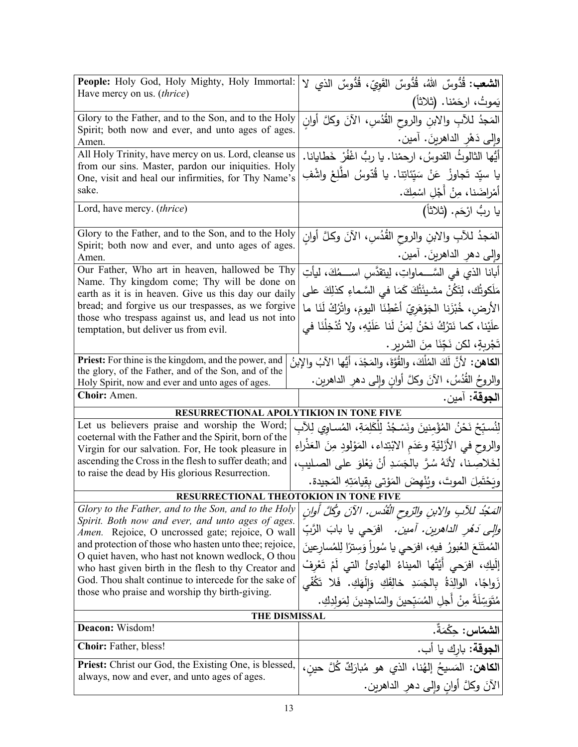| People: Holy God, Holy Mighty, Holy Immortal:                                                                 |                                                                                                     |
|---------------------------------------------------------------------------------------------------------------|-----------------------------------------------------------------------------------------------------|
| Have mercy on us. (thrice)                                                                                    | ا <b>لشعب:</b> قُدُّوسٌ اللهُ، قُدُّوسٌ القَوِيّ، قُدُّوسٌ الذي لا                                  |
|                                                                                                               | يَموتُ، ارحَمْنا. (ثلاثاً)                                                                          |
| Glory to the Father, and to the Son, and to the Holy                                                          | المَجدُ للأبِ والابنِ والروح القُدُسِ، الآنَ وكلَّ أوانِ                                            |
| Spirit; both now and ever, and unto ages of ages.<br>Amen.                                                    | وإِلى دَهْرِ الداهرينَ. أمين.                                                                       |
| All Holy Trinity, have mercy on us. Lord, cleanse us                                                          | أَيُّها الثالوثُ القدوسُ، ارحمْنا. يا ربُّ اغْفُرْ خَطايانا.                                        |
| from our sins. Master, pardon our iniquities. Holy                                                            | يا سيّد تَجاوزْ  عَنْ سَيّئاتِنا. يا قُدّوسُ  اطْلِعْ واشْفِ                                        |
| One, visit and heal our infirmities, for Thy Name's<br>sake.                                                  | أَمْراضَنا، مِنْ أَجْلِ اسْمِكَ.                                                                    |
| Lord, have mercy. (thrice)                                                                                    | يا ربُ ارْحَم. (ثلاثاً)                                                                             |
|                                                                                                               |                                                                                                     |
| Glory to the Father, and to the Son, and to the Holy                                                          | المَجدُ للآبِ والابنِ والروح القُدُسِ، الآنَ وكلَّ أَوانِ                                           |
| Spirit; both now and ever, and unto ages of ages.<br>Amen.                                                    | وإلى دهرِ الداهرينَ. أمين.                                                                          |
| Our Father, Who art in heaven, hallowed be Thy                                                                | أبانا الذي في السَّـــماواتِ، لِيتقدَّس اســـمُكَ، ليأتِ                                            |
| Name. Thy kingdom come; Thy will be done on<br>earth as it is in heaven. Give us this day our daily           | مَلَكوتُك، لِتَكُنْ مشيئَتُكَ كَمَا في السَّماءِ كذلِكَ على                                         |
| bread; and forgive us our trespasses, as we forgive                                                           | الأرض، خُبْزَنا الْجَوْهَرِيّ أَعْطِنَا اليومَ، واتْرُكْ لَنَا ما                                   |
| those who trespass against us, and lead us not into                                                           | علَيْنا، كما نَترُكُ نَحْنُ لِمَنْ لَنا عَلَيْهِ، ولا تُدْخِلْنَا في                                |
| temptation, but deliver us from evil.                                                                         | تَجْرِبةٍ، لكن نَجِّنَا مِنَ الشريرِ .                                                              |
| <b>Priest:</b> For thine is the kingdom, and the power, and                                                   |                                                                                                     |
| the glory, of the Father, and of the Son, and of the                                                          | ا <b>لكاهن:</b> لأنَّ لَكَ المُلْكَ، والقُوَّة، والمَجْدَ، أيُّها الآبُ والإبنُ                     |
| Holy Spirit, now and ever and unto ages of ages.                                                              | والروحُ القُدُسُ، الآنَ وكلَّ أوانِ وإلى دهرِ الداهرينِ.                                            |
|                                                                                                               |                                                                                                     |
| Choir: Amen.                                                                                                  | ا <b>لجوقة:</b> آمين.                                                                               |
|                                                                                                               |                                                                                                     |
| RESURRECTIONAL APOLYTIKION IN TONE FIVE                                                                       |                                                                                                     |
| Let us believers praise and worship the Word;<br>coeternal with the Father and the Spirit, born of the        | لِنُسبّحْ نَحْنُ المُؤْمِنينَ ونَسْجُدْ لِلْكَلِمَةِ، المُساوي لِلآبِ                               |
| Virgin for our salvation. For, He took pleasure in                                                            | والروح في الأَزَلِيَّةِ وعَدَم الابْتِداء، المَوْلودِ مِنَ العَذْراءِ                               |
| ascending the Cross in the flesh to suffer death; and                                                         | لِخَلاصِنا، لأَنَهُ سُرَّ بِالْجَسَدِ أَنْ يَعْلَوَ على الصليب،                                     |
| to raise the dead by His glorious Resurrection.                                                               | ويَحْتَمِلَ الموتَ، ويُنْهِضَ المَوْتي بِقِيامَتِهِ المَجِيدة.                                      |
| RESURRECTIONAL THEOTOKION IN TONE FIVE                                                                        |                                                                                                     |
| Glory to the Father, and to the Son, and to the Holy                                                          | الْمَجْدُ للْآبِ والِابنِ والرّوحِ الْقُدْسِ. الْآنَ وَكُلَّ أُوانِ                                 |
| Spirit. Both now and ever, and unto ages of ages.<br>Amen. Rejoice, O uncrossed gate; rejoice, O wall         | <i>والي دَهْر الداهرين. آمين.</i> افرَحي يا بابَ الرَّبِّ                                           |
| and protection of those who hasten unto thee; rejoice,                                                        | المُمتَنَعَ العُبورُ فيهِ، افرَحي يا سُوراً وَسترًا لِلمُسارِعينَ                                   |
| O quiet haven, who hast not known wedlock, O thou                                                             |                                                                                                     |
| who hast given birth in the flesh to thy Creator and<br>God. Thou shalt continue to intercede for the sake of | إِلَيكِ، افرَحي أَيَّتُها الميناءُ الهادِئُ التي لَمْ تَعْرِفْ                                      |
| those who praise and worship thy birth-giving.                                                                | زَواجًا، الوالِدَةُ بِالْجَسَدِ خَالِقَكِ وَإِلَهَكِ. فَلا تَكُفَّى                                 |
|                                                                                                               | مُتَوَسِّلَةً مِنْ أجلِ المُسَبّحينَ والسّاجِدينَ لِمَولِدِكِ.                                      |
| THE DISMISSAL<br>Deacon: Wisdom!                                                                              | ا <b>لشماس:</b> حكْمَةٌ.                                                                            |
| <b>Choir:</b> Father, bless!                                                                                  |                                                                                                     |
| <b>Priest:</b> Christ our God, the Existing One, is blessed,                                                  | ا <b>لجوقة:</b> بارك يا أب.                                                                         |
| always, now and ever, and unto ages of ages.                                                                  | ا <b>لكاهن:</b> المَسيحُ إلهُنا، الذي هو مُبارَكٌ كُلَّ حين،<br>الآنَ وكلَّ أوان وإلى دهر الداهرين. |